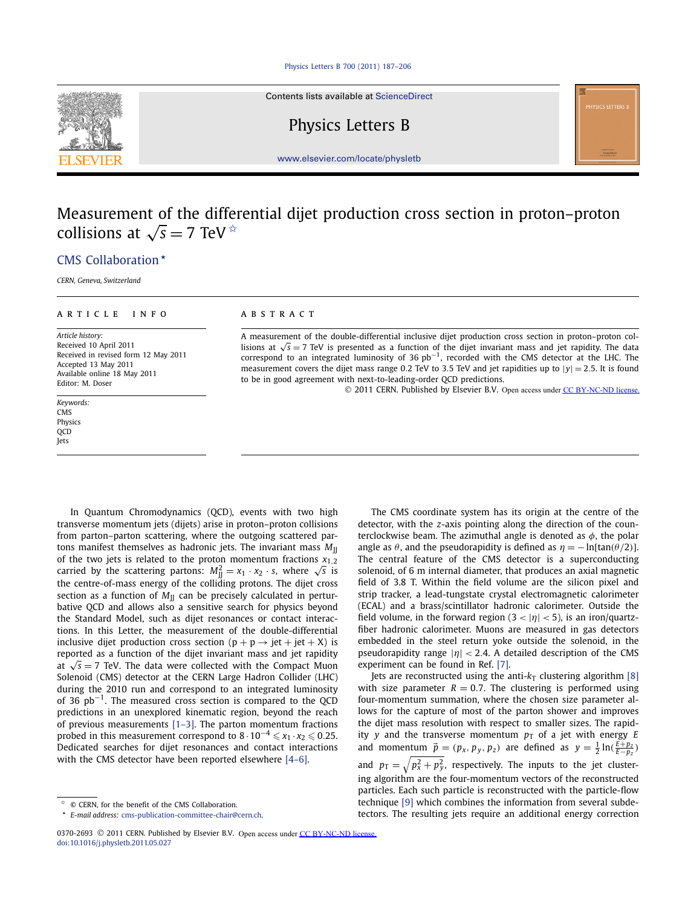

Contents lists available at [ScienceDirect](http://www.ScienceDirect.com/)

Physics Letters B

[www.elsevier.com/locate/physletb](http://www.elsevier.com/locate/physletb)

# Measurement of the differential dijet production cross section in proton–proton collisions at  $\sqrt{s}$  = 7 TeV  $*$

# [.CMS Collaboration](#page-6-0) *-*

*CERN, Geneva, Switzerland*

#### article info abstract

*Article history:* Received 10 April 2011 Received in revised form 12 May 2011 Accepted 13 May 2011 Available online 18 May 2011 Editor: M. Doser

*Keywords:* CMS **Physics OCD** Jets

A measurement of the double-differential inclusive dijet production cross section in proton–proton collisions at <sup>√</sup>*<sup>s</sup>* <sup>=</sup> 7 TeV is presented as a function of the dijet invariant mass and jet rapidity. The data correspond to an integrated luminosity of 36  $pb^{-1}$ , recorded with the CMS detector at the LHC. The measurement covers the dijet mass range 0*.*2 TeV to 3*.*5 TeV and jet rapidities up to |*y*| = 2*.*5. It is found to be in good agreement with next-to-leading-order QCD predictions.

© 2011 CERN. Published by Elsevier B.V. Open access under [CC BY-NC-ND license.](http://creativecommons.org/licenses/by-nc-nd/4.0/)

In Quantum Chromodynamics (QCD), events with two high transverse momentum jets (dijets) arise in proton–proton collisions from parton–parton scattering, where the outgoing scattered partons manifest themselves as hadronic jets. The invariant mass  $M_{\text{II}}$ of the two jets is related to the proton momentum fractions  $x_{1,2}$ carried by the scattering partons:  $M_{\text{jj}}^2 = x_1 \cdot x_2 \cdot s$ , where  $\sqrt{s}$  is the centre-of-mass energy of the colliding protons. The dijet cross section as a function of  $M_{\parallel}$  can be precisely calculated in perturbative QCD and allows also a sensitive search for physics beyond the Standard Model, such as dijet resonances or contact interactions. In this Letter, the measurement of the double-differential inclusive dijet production cross section  $(p + p \rightarrow jet + jet + X)$  is reported as a function of the dijet invariant mass and jet rapidity at  $\sqrt{s}$  = 7 TeV. The data were collected with the Compact Muon Solenoid (CMS) detector at the CERN Large Hadron Collider (LHC) during the 2010 run and correspond to an integrated luminosity of 36 pb<sup>−</sup>1. The measured cross section is compared to the QCD predictions in an unexplored kinematic region, beyond the reach of previous measurements [\[1–3\].](#page-5-0) The parton momentum fractions probed in this measurement correspond to  $8 \cdot 10^{-4} \leq x_1 \cdot x_2 \leq 0.25$ . Dedicated searches for dijet resonances and contact interactions with the CMS detector have been reported elsewhere [\[4–6\].](#page-5-0)

The CMS coordinate system has its origin at the centre of the detector, with the *z*-axis pointing along the direction of the counterclockwise beam. The azimuthal angle is denoted as *φ*, the polar angle as  $\theta$ , and the pseudorapidity is defined as  $\eta = -\ln[\tan(\theta/2)]$ . The central feature of the CMS detector is a superconducting solenoid, of 6 m internal diameter, that produces an axial magnetic field of 3.8 T. Within the field volume are the silicon pixel and strip tracker, a lead-tungstate crystal electromagnetic calorimeter (ECAL) and a brass/scintillator hadronic calorimeter. Outside the field volume, in the forward region  $(3 < |\eta| < 5)$ , is an iron/quartzfiber hadronic calorimeter. Muons are measured in gas detectors embedded in the steel return yoke outside the solenoid, in the pseudorapidity range |*η*| *<* <sup>2</sup>*.*4. A detailed description of the CMS experiment can be found in Ref. [\[7\].](#page-5-0)

Jets are reconstructed using the anti- $k<sub>T</sub>$  clustering algorithm [\[8\]](#page-5-0) with size parameter  $R = 0.7$ . The clustering is performed using four-momentum summation, where the chosen size parameter allows for the capture of most of the parton shower and improves the dijet mass resolution with respect to smaller sizes. The rapidity *y* and the transverse momentum  $p<sub>T</sub>$  of a jet with energy *E* and momentum  $\vec{p} = (p_x, p_y, p_z)$  are defined as  $y = \frac{1}{2} \ln(\frac{E + p_z}{E - p_z})$ and  $p_T = \sqrt{p_x^2 + p_y^2}$ , respectively. The inputs to the jet clustering algorithm are the four-momentum vectors of the reconstructed particles. Each such particle is reconstructed with the particle-flow technique [\[9\]](#page-5-0) which combines the information from several subdetectors. The resulting jets require an additional energy correction

<sup>✩</sup> © CERN, for the benefit of the CMS Collaboration.

*<sup>-</sup>E-mail address:* [cms-publication-committee-chair@cern.ch](mailto:cms-publication-committee-chair@cern.ch).

<sup>0370-2693</sup> © 2011 CERN. Published by Elsevier B.V. Open access under [CC BY-NC-ND license.](http://creativecommons.org/licenses/by-nc-nd/4.0/)[doi:10.1016/j.physletb.2011.05.027](http://dx.doi.org/10.1016/j.physletb.2011.05.027)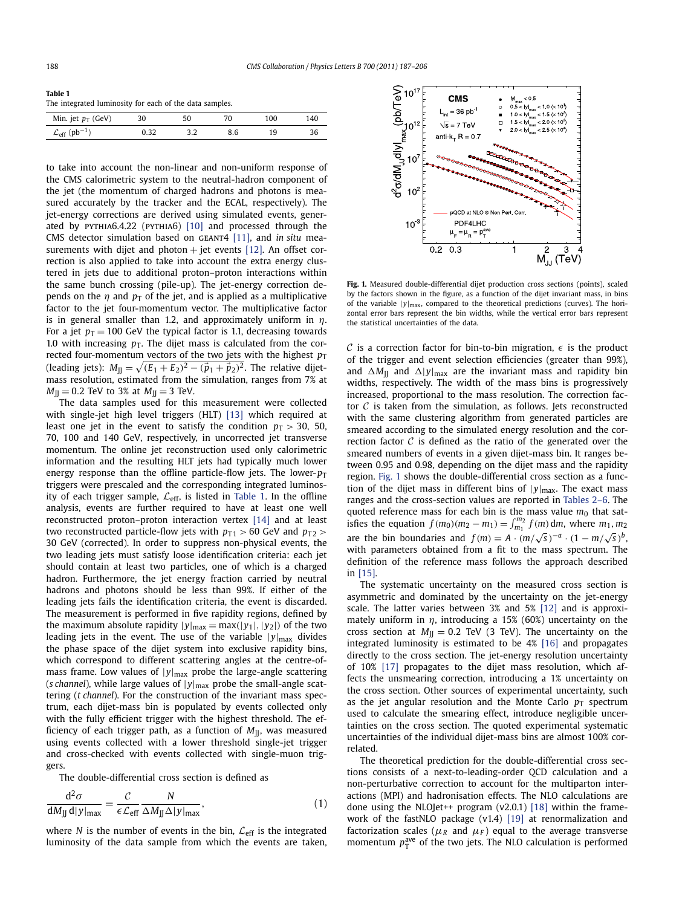<span id="page-1-0"></span>**Table 1**

| The integrated luminosity for each of the data samples. |  |  |  |  |  |  |  |
|---------------------------------------------------------|--|--|--|--|--|--|--|
|---------------------------------------------------------|--|--|--|--|--|--|--|

| Min. jet $p_T$ (GeV)                         | 30 |     | 00 | 140 |
|----------------------------------------------|----|-----|----|-----|
| $\mathcal{L}_{\text{eff}}$ (pb <sup>-1</sup> |    | . . | ۱Q |     |

to take into account the non-linear and non-uniform response of the CMS calorimetric system to the neutral-hadron component of the jet (the momentum of charged hadrons and photons is measured accurately by the tracker and the ECAL, respectively). The jet-energy corrections are derived using simulated events, generated by pythia6.4.22 (pythia6) [\[10\]](#page-5-0) and processed through the CMS detector simulation based on geant4 [\[11\],](#page-5-0) and *in situ* measurements with dijet and photon  $+$  jet events [\[12\].](#page-5-0) An offset correction is also applied to take into account the extra energy clustered in jets due to additional proton–proton interactions within the same bunch crossing (pile-up). The jet-energy correction depends on the  $\eta$  and  $p<sub>T</sub>$  of the jet, and is applied as a multiplicative factor to the jet four-momentum vector. The multiplicative factor is in general smaller than 1.2, and approximately uniform in *η*. For a jet  $p_T = 100$  GeV the typical factor is 1.1, decreasing towards 1.0 with increasing  $p<sub>T</sub>$ . The dijet mass is calculated from the corrected four-momentum vectors of the two jets with the highest  $p_T$ (leading jets):  $M_{JJ} = \sqrt{(E_1 + E_2)^2 - (\vec{p}_1 + \vec{p}_2)^2}$ . The relative dijetmass resolution, estimated from the simulation, ranges from 7% at  $M_{\text{II}} = 0.2$  TeV to 3% at  $M_{\text{II}} = 3$  TeV.

The data samples used for this measurement were collected with single-jet high level triggers (HLT) [\[13\]](#page-5-0) which required at least one jet in the event to satisfy the condition  $p_T > 30$ , 50, 70, 100 and 140 GeV, respectively, in uncorrected jet transverse momentum. The online jet reconstruction used only calorimetric information and the resulting HLT jets had typically much lower energy response than the offline particle-flow jets. The lower- $p<sub>T</sub>$ triggers were prescaled and the corresponding integrated luminosity of each trigger sample,  $\mathcal{L}_{eff}$ , is listed in Table 1. In the offline analysis, events are further required to have at least one well reconstructed proton–proton interaction vertex [\[14\]](#page-5-0) and at least two reconstructed particle-flow jets with  $p_{T1} > 60$  GeV and  $p_{T2} >$ 30 GeV (corrected). In order to suppress non-physical events, the two leading jets must satisfy loose identification criteria: each jet should contain at least two particles, one of which is a charged hadron. Furthermore, the jet energy fraction carried by neutral hadrons and photons should be less than 99%. If either of the leading jets fails the identification criteria, the event is discarded. The measurement is performed in five rapidity regions, defined by the maximum absolute rapidity  $|y|_{max} = max(|y_1|, |y_2|)$  of the two leading jets in the event. The use of the variable  $|y|_{\text{max}}$  divides the phase space of the dijet system into exclusive rapidity bins, which correspond to different scattering angles at the centre-ofmass frame. Low values of  $|y|_{\text{max}}$  probe the large-angle scattering (*s channel*), while large values of  $|y|_{\text{max}}$  probe the small-angle scattering (*t channel*). For the construction of the invariant mass spectrum, each dijet-mass bin is populated by events collected only with the fully efficient trigger with the highest threshold. The efficiency of each trigger path, as a function of  $M_{\rm H}$ , was measured using events collected with a lower threshold single-jet trigger and cross-checked with events collected with single-muon triggers.

The double-differential cross section is defined as

$$
\frac{\mathrm{d}^2 \sigma}{\mathrm{d}M_{\mathrm{JJ}} \mathrm{d}|y|_{\mathrm{max}}} = \frac{\mathcal{C}}{\epsilon \mathcal{L}_{\mathrm{eff}}} \frac{N}{\Delta M_{\mathrm{JJ}} \Delta |y|_{\mathrm{max}}},\tag{1}
$$

where  $N$  is the number of events in the bin,  $\mathcal{L}_{\text{eff}}$  is the integrated luminosity of the data sample from which the events are taken,



Fig. 1. Measured double-differential dijet production cross sections (points), scaled by the factors shown in the figure, as a function of the dijet invariant mass, in bins of the variable |*y*|max, compared to the theoretical predictions (curves). The horizontal error bars represent the bin widths, while the vertical error bars represent the statistical uncertainties of the data

C is a correction factor for bin-to-bin migration,  $\epsilon$  is the product of the trigger and event selection efficiencies (greater than 99%), and  $\Delta M_{\text{JJ}}$  and  $\Delta |y|_{\text{max}}$  are the invariant mass and rapidity bin widths, respectively. The width of the mass bins is progressively increased, proportional to the mass resolution. The correction factor  $C$  is taken from the simulation, as follows. Jets reconstructed with the same clustering algorithm from generated particles are smeared according to the simulated energy resolution and the correction factor  $C$  is defined as the ratio of the generated over the smeared numbers of events in a given dijet-mass bin. It ranges between 0.95 and 0.98, depending on the dijet mass and the rapidity region. Fig. 1 shows the double-differential cross section as a function of the dijet mass in different bins of  $|y|_{\text{max}}$ . The exact mass ranges and the cross-section values are reported in [Tables 2–6.](#page-2-0) The quoted reference mass for each bin is the mass value  $m_0$  that satisfies the equation  $f(m_0)(m_2 - m_1) = \int_{m_1}^{m_2} f(m) dm$ , where  $m_1, m_2$ are the bin boundaries and  $f(m) = A \cdot (m/\sqrt{s})^{-a} \cdot (1 - m/\sqrt{s})^b$ , with parameters obtained from a fit to the mass spectrum. The definition of the reference mass follows the approach described in [\[15\].](#page-5-0)

The systematic uncertainty on the measured cross section is asymmetric and dominated by the uncertainty on the jet-energy scale. The latter varies between 3% and 5% [\[12\]](#page-5-0) and is approximately uniform in  $\eta$ , introducing a 15% (60%) uncertainty on the cross section at  $M_{\parallel} = 0.2$  TeV (3 TeV). The uncertainty on the integrated luminosity is estimated to be 4% [\[16\]](#page-5-0) and propagates directly to the cross section. The jet-energy resolution uncertainty of 10% [\[17\]](#page-5-0) propagates to the dijet mass resolution, which affects the unsmearing correction, introducing a 1% uncertainty on the cross section. Other sources of experimental uncertainty, such as the jet angular resolution and the Monte Carlo  $p_T$  spectrum used to calculate the smearing effect, introduce negligible uncertainties on the cross section. The quoted experimental systematic uncertainties of the individual dijet-mass bins are almost 100% correlated.

The theoretical prediction for the double-differential cross sections consists of a next-to-leading-order QCD calculation and a non-perturbative correction to account for the multiparton interactions (MPI) and hadronisation effects. The NLO calculations are done using the NLOJet++ program (v2.0.1) [\[18\]](#page-5-0) within the framework of the fastNLO package (v1.4) [\[19\]](#page-5-0) at renormalization and factorization scales ( $\mu_R$  and  $\mu_F$ ) equal to the average transverse momentum  $p_T^{ave}$  of the two jets. The NLO calculation is performed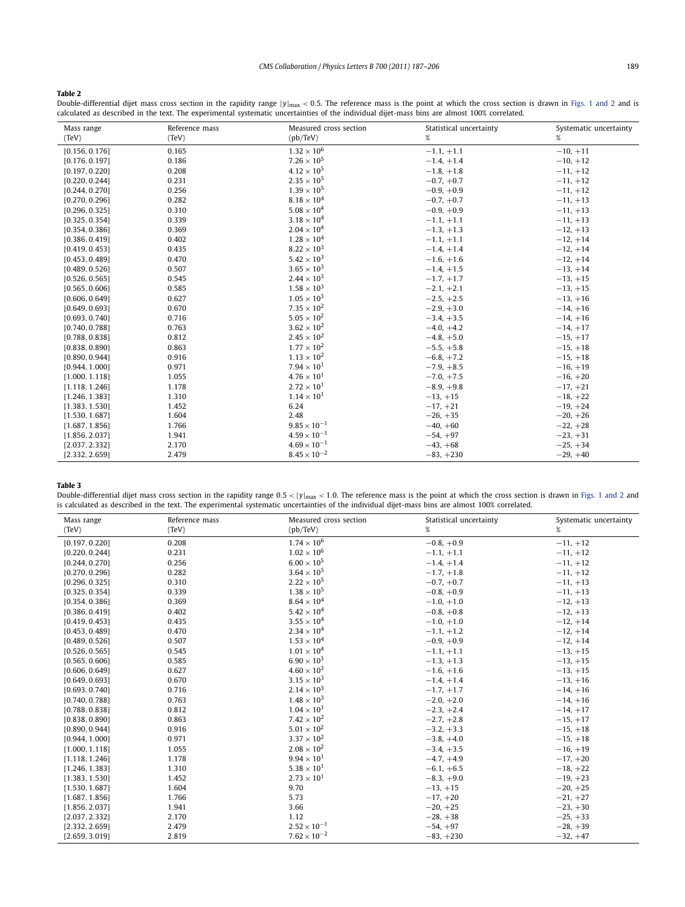#### <span id="page-2-0"></span>**Table 2**

Double-differential dijet mass cross section in the rapidity range  $|y|_{\text{max}}$  < 0.5. The reference mass is the point at which the cross section is drawn in [Figs. 1 and 2](#page-1-0) and is calculated as described in the text. The experimental systematic uncertainties of the individual dijet-mass bins are almost 100% correlated.

| Mass range     | Reference mass | Measured cross section | Statistical uncertainty | Systematic uncertainty |
|----------------|----------------|------------------------|-------------------------|------------------------|
| (TeV)          | (TeV)          | (pb/TeV)               | $\%$                    | $\%$                   |
| [0.156, 0.176] | 0.165          | $1.32\times10^6$       | $-1.1, +1.1$            | $-10, +11$             |
| [0.176, 0.197] | 0.186          | $7.26 \times 10^{5}$   | $-1.4, +1.4$            | $-10, +12$             |
| [0.197, 0.220] | 0.208          | $4.12 \times 10^{5}$   | $-1.8, +1.8$            | $-11, +12$             |
| [0.220, 0.244] | 0.231          | $2.35 \times 10^{5}$   | $-0.7, +0.7$            | $-11, +12$             |
| [0.244, 0.270] | 0.256          | $1.39 \times 10^{5}$   | $-0.9, +0.9$            | $-11, +12$             |
| [0.270, 0.296] | 0.282          | $8.18 \times 10^{4}$   | $-0.7, +0.7$            | $-11, +13$             |
| [0.296, 0.325] | 0.310          | $5.08 \times 10^{4}$   | $-0.9, +0.9$            | $-11, +13$             |
| [0.325, 0.354] | 0.339          | $3.18 \times 10^{4}$   | $-1.1, +1.1$            | $-11, +13$             |
| [0.354, 0.386] | 0.369          | $2.04 \times 10^{4}$   | $-1.3, +1.3$            | $-12, +13$             |
| [0.386, 0.419] | 0.402          | $1.28 \times 10^{4}$   | $-1.1, +1.1$            | $-12, +14$             |
| [0.419, 0.453] | 0.435          | $8.22 \times 10^{3}$   | $-1.4, +1.4$            | $-12, +14$             |
| [0.453, 0.489] | 0.470          | $5.42 \times 10^{3}$   | $-1.6, +1.6$            | $-12, +14$             |
| [0.489, 0.526] | 0.507          | $3.65 \times 10^{3}$   | $-1.4, +1.5$            | $-13, +14$             |
| [0.526, 0.565] | 0.545          | $2.44 \times 10^{3}$   | $-1.7, +1.7$            | $-13, +15$             |
| [0.565, 0.606] | 0.585          | $1.58 \times 10^{3}$   | $-2.1, +2.1$            | $-13, +15$             |
| [0.606, 0.649] | 0.627          | $1.05 \times 10^{3}$   | $-2.5, +2.5$            | $-13, +16$             |
| [0.649, 0.693] | 0.670          | $7.35 \times 10^{2}$   | $-2.9, +3.0$            | $-14, +16$             |
| [0.693, 0.740] | 0.716          | $5.05\times10^2$       | $-3.4, +3.5$            | $-14, +16$             |
| [0.740, 0.788] | 0.763          | $3.62 \times 10^{2}$   | $-4.0, +4.2$            | $-14, +17$             |
| [0.788, 0.838] | 0.812          | $2.45 \times 10^{2}$   | $-4.8, +5.0$            | $-15, +17$             |
| [0.838, 0.890] | 0.863          | $1.77 \times 10^{2}$   | $-5.5, +5.8$            | $-15, +18$             |
| [0.890, 0.944] | 0.916          | $1.13 \times 10^{2}$   | $-6.8, +7.2$            | $-15, +18$             |
| [0.944, 1.000] | 0.971          | $7.94 \times 10^{1}$   | $-7.9, +8.5$            | $-16, +19$             |
| [1.000, 1.118] | 1.055          | $4.76 \times 10^{1}$   | $-7.0, +7.5$            | $-16, +20$             |
| [1.118, 1.246] | 1.178          | $2.72 \times 10^{1}$   | $-8.9, +9.8$            | $-17, +21$             |
| [1.246, 1.383] | 1.310          | $1.14 \times 10^{1}$   | $-13, +15$              | $-18, +22$             |
| [1.383, 1.530] | 1.452          | 6.24                   | $-17, +21$              | $-19, +24$             |
| [1.530, 1.687] | 1.604          | 2.48                   | $-26, +35$              | $-20, +26$             |
| [1.687, 1.856] | 1.766          | $9.85 \times 10^{-1}$  | $-40, +60$              | $-22, +28$             |
| [1.856, 2.037] | 1.941          | $4.59 \times 10^{-1}$  | $-54, +97$              | $-23, +31$             |
| [2.037, 2.332] | 2.170          | $4.69 \times 10^{-1}$  | $-43, +68$              | $-25, +34$             |
| [2.332, 2.659] | 2.479          | $8.45 \times 10^{-2}$  | $-83, +230$             | $-29, +40$             |

#### **Table 3**

Double-differential dijet mass cross section in the rapidity range 0.5 < |y|<sub>max</sub> < 1.0. The reference mass is the point at which the cross section is drawn in [Figs. 1 and 2](#page-1-0) and<br>is calculated as described in the text. The

| Mass range     | Reference mass | Measured cross section | Statistical uncertainty | Systematic uncertainty |
|----------------|----------------|------------------------|-------------------------|------------------------|
| (TeV)          | (TeV)          | (pb/TeV)               | $\%$                    | %                      |
| [0.197, 0.220] | 0.208          | $1.74\times10^6$       | $-0.8, +0.9$            | $-11, +12$             |
| [0.220, 0.244] | 0.231          | $1.02 \times 10^{6}$   | $-1.1, +1.1$            | $-11, +12$             |
| [0.244, 0.270] | 0.256          | $6.00 \times 10^{5}$   | $-1.4, +1.4$            | $-11, +12$             |
| [0.270, 0.296] | 0.282          | $3.64 \times 10^{5}$   | $-1.7, +1.8$            | $-11, +12$             |
| [0.296, 0.325] | 0.310          | $2.22 \times 10^{5}$   | $-0.7, +0.7$            | $-11, +13$             |
| [0.325, 0.354] | 0.339          | $1.38 \times 10^{5}$   | $-0.8, +0.9$            | $-11, +13$             |
| [0.354, 0.386] | 0.369          | $8.64 \times 10^{4}$   | $-1.0, +1.0$            | $-12, +13$             |
| [0.386, 0.419] | 0.402          | $5.42 \times 10^{4}$   | $-0.8, +0.8$            | $-12, +13$             |
| [0.419, 0.453] | 0.435          | $3.55 \times 10^{4}$   | $-1.0, +1.0$            | $-12, +14$             |
| [0.453, 0.489] | 0.470          | $2.34 \times 10^{4}$   | $-1.1, +1.2$            | $-12, +14$             |
| [0.489, 0.526] | 0.507          | $1.53 \times 10^{4}$   | $-0.9, +0.9$            | $-12, +14$             |
| [0.526, 0.565] | 0.545          | $1.01 \times 10^{4}$   | $-1.1, +1.1$            | $-13, +15$             |
| [0.565, 0.606] | 0.585          | $6.90 \times 10^{3}$   | $-1.3, +1.3$            | $-13, +15$             |
| [0.606, 0.649] | 0.627          | $4.60 \times 10^{3}$   | $-1.6, +1.6$            | $-13, +15$             |
| [0.649, 0.693] | 0.670          | $3.15 \times 10^{3}$   | $-1.4, +1.4$            | $-13, +16$             |
| [0.693, 0.740] | 0.716          | $2.14 \times 10^{3}$   | $-1.7, +1.7$            | $-14, +16$             |
| [0.740, 0.788] | 0.763          | $1.48 \times 10^{3}$   | $-2.0, +2.0$            | $-14, +16$             |
| [0.788, 0.838] | 0.812          | $1.04 \times 10^{3}$   | $-2.3, +2.4$            | $-14, +17$             |
| [0.838, 0.890] | 0.863          | $7.42 \times 10^{2}$   | $-2.7, +2.8$            | $-15, +17$             |
| [0.890, 0.944] | 0.916          | $5.01 \times 10^{2}$   | $-3.2, +3.3$            | $-15, +18$             |
| [0.944, 1.000] | 0.971          | $3.37 \times 10^{2}$   | $-3.8, +4.0$            | $-15, +18$             |
| [1.000, 1.118] | 1.055          | $2.08 \times 10^{2}$   | $-3.4, +3.5$            | $-16, +19$             |
| [1.118, 1.246] | 1.178          | $9.94 \times 10^{1}$   | $-4.7, +4.9$            | $-17, +20$             |
| [1.246, 1.383] | 1.310          | $5.38 \times 10^{1}$   | $-6.1, +6.5$            | $-18, +22$             |
| [1.383, 1.530] | 1.452          | $2.73 \times 10^{1}$   | $-8.3, +9.0$            | $-19, +23$             |
| [1.530, 1.687] | 1.604          | 9.70                   | $-13, +15$              | $-20, +25$             |
| [1.687, 1.856] | 1.766          | 5.73                   | $-17, +20$              | $-21, +27$             |
| [1.856, 2.037] | 1.941          | 3.66                   | $-20, +25$              | $-23, +30$             |
| [2.037, 2.332] | 2.170          | 1.12                   | $-28, +38$              | $-25, +33$             |
| [2.332, 2.659] | 2.479          | $2.52 \times 10^{-1}$  | $-54, +97$              | $-28, +39$             |
| [2.659, 3.019] | 2.819          | $7.62 \times 10^{-2}$  | $-83, +230$             | $-32, +47$             |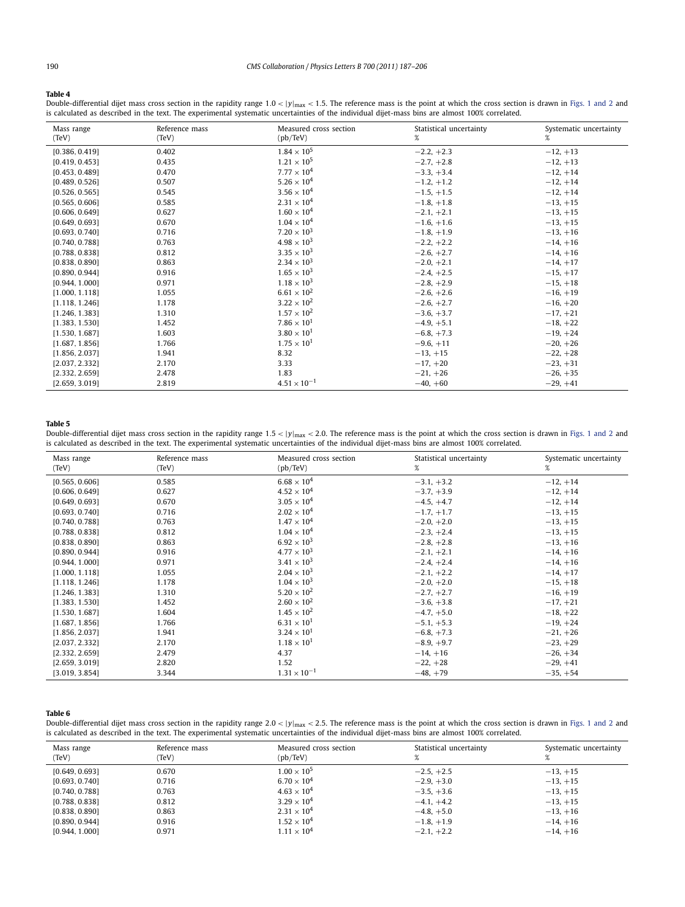#### **Table 4**

Double-differential dijet mass cross section in the rapidity range  $1.0 < |y|_{max} < 1.5$ . The reference mass is the point at which the cross section is drawn in [Figs. 1 and 2](#page-1-0) and is calculated as described in the text. The experimental systematic uncertainties of the individual dijet-mass bins are almost 100% correlated.

| Mass range<br>(TeV) | Reference mass<br>(TeV) | Measured cross section<br>(pb/TeV) | Statistical uncertainty<br>$\%$ | Systematic uncertainty<br>$\%$ |
|---------------------|-------------------------|------------------------------------|---------------------------------|--------------------------------|
| [0.386, 0.419]      | 0.402                   | $1.84\times10^5$                   | $-2.2, +2.3$                    | $-12, +13$                     |
| [0.419, 0.453]      | 0.435                   | $1.21 \times 10^{5}$               | $-2.7, +2.8$                    | $-12, +13$                     |
| [0.453, 0.489]      | 0.470                   | $7.77 \times 10^{4}$               |                                 |                                |
|                     |                         |                                    | $-3.3, +3.4$                    | $-12, +14$                     |
| [0.489, 0.526]      | 0.507                   | $5.26 \times 10^{4}$               | $-1.2, +1.2$                    | $-12, +14$                     |
| [0.526, 0.565]      | 0.545                   | $3.56 \times 10^{4}$               | $-1.5, +1.5$                    | $-12, +14$                     |
| [0.565, 0.606]      | 0.585                   | $2.31 \times 10^{4}$               | $-1.8, +1.8$                    | $-13, +15$                     |
| [0.606, 0.649]      | 0.627                   | $1.60 \times 10^{4}$               | $-2.1, +2.1$                    | $-13, +15$                     |
| [0.649, 0.693]      | 0.670                   | $1.04 \times 10^{4}$               | $-1.6, +1.6$                    | $-13, +15$                     |
| [0.693, 0.740]      | 0.716                   | $7.20 \times 10^{3}$               | $-1.8, +1.9$                    | $-13, +16$                     |
| [0.740, 0.788]      | 0.763                   | $4.98 \times 10^{3}$               | $-2.2, +2.2$                    | $-14, +16$                     |
| [0.788, 0.838]      | 0.812                   | $3.35 \times 10^{3}$               | $-2.6, +2.7$                    | $-14, +16$                     |
| [0.838, 0.890]      | 0.863                   | $2.34 \times 10^{3}$               | $-2.0, +2.1$                    | $-14, +17$                     |
| [0.890, 0.944]      | 0.916                   | $1.65 \times 10^{3}$               | $-2.4, +2.5$                    | $-15, +17$                     |
| [0.944, 1.000]      | 0.971                   | $1.18 \times 10^{3}$               | $-2.8, +2.9$                    | $-15, +18$                     |
| [1.000, 1.118]      | 1.055                   | $6.61 \times 10^{2}$               | $-2.6, +2.6$                    | $-16, +19$                     |
| [1.118, 1.246]      | 1.178                   | $3.22 \times 10^{2}$               | $-2.6, +2.7$                    | $-16, +20$                     |
| [1.246, 1.383]      | 1.310                   | $1.57 \times 10^{2}$               | $-3.6, +3.7$                    | $-17, +21$                     |
| [1.383, 1.530]      | 1.452                   | $7.86 \times 10^{1}$               | $-4.9, +5.1$                    | $-18, +22$                     |
| [1.530, 1.687]      | 1.603                   | $3.80 \times 10^{1}$               | $-6.8, +7.3$                    | $-19, +24$                     |
| [1.687, 1.856]      | 1.766                   | $1.75 \times 10^{1}$               | $-9.6, +11$                     | $-20, +26$                     |
| [1.856, 2.037]      | 1.941                   | 8.32                               | $-13, +15$                      | $-22, +28$                     |
| [2.037, 2.332]      | 2.170                   | 3.33                               | $-17, +20$                      | $-23, +31$                     |
| [2.332, 2.659]      | 2.478                   | 1.83                               | $-21, +26$                      | $-26, +35$                     |
| [2.659, 3.019]      | 2.819                   | $4.51 \times 10^{-1}$              | $-40, +60$                      | $-29, +41$                     |

#### **Table 5**

Double-differential dijet mass cross section in the rapidity range 1.5 < |y|<sub>max</sub> < 2.0. The reference mass is the point at which the cross section is drawn in [Figs. 1 and 2](#page-1-0) and<br>is calculated as described in the text. The

| Mass range<br>(TeV) | Reference mass<br>(TeV) | Measured cross section<br>(pb/TeV) | Statistical uncertainty<br>% | Systematic uncertainty<br>% |
|---------------------|-------------------------|------------------------------------|------------------------------|-----------------------------|
| [0.565, 0.606]      | 0.585                   | $6.68 \times 10^{4}$               | $-3.1, +3.2$                 | $-12, +14$                  |
| [0.606, 0.649]      | 0.627                   | $4.52 \times 10^{4}$               | $-3.7, +3.9$                 | $-12, +14$                  |
| [0.649, 0.693]      | 0.670                   | $3.05 \times 10^{4}$               | $-4.5, +4.7$                 | $-12, +14$                  |
| [0.693, 0.740]      | 0.716                   | $2.02 \times 10^{4}$               | $-1.7, +1.7$                 | $-13, +15$                  |
| [0.740, 0.788]      | 0.763                   | $1.47 \times 10^{4}$               | $-2.0, +2.0$                 | $-13, +15$                  |
| [0.788, 0.838]      | 0.812                   | $1.04 \times 10^{4}$               | $-2.3, +2.4$                 | $-13, +15$                  |
| [0.838, 0.890]      | 0.863                   | $6.92 \times 10^{3}$               | $-2.8, +2.8$                 | $-13, +16$                  |
| [0.890, 0.944]      | 0.916                   | $4.77 \times 10^{3}$               | $-2.1, +2.1$                 | $-14, +16$                  |
| [0.944, 1.000]      | 0.971                   | $3.41 \times 10^{3}$               | $-2.4, +2.4$                 | $-14, +16$                  |
| [1.000, 1.118]      | 1.055                   | $2.04 \times 10^{3}$               | $-2.1, +2.2$                 | $-14, +17$                  |
| [1.118, 1.246]      | 1.178                   | $1.04 \times 10^{3}$               | $-2.0, +2.0$                 | $-15, +18$                  |
| [1.246, 1.383]      | 1.310                   | $5.20 \times 10^{2}$               | $-2.7, +2.7$                 | $-16, +19$                  |
| [1.383, 1.530]      | 1.452                   | $2.60 \times 10^{2}$               | $-3.6, +3.8$                 | $-17, +21$                  |
| [1.530, 1.687]      | 1.604                   | $1.45 \times 10^{2}$               | $-4.7, +5.0$                 | $-18, +22$                  |
| [1.687, 1.856]      | 1.766                   | $6.31 \times 10^{1}$               | $-5.1, +5.3$                 | $-19, +24$                  |
| [1.856, 2.037]      | 1.941                   | $3.24 \times 10^{1}$               | $-6.8, +7.3$                 | $-21, +26$                  |
| [2.037, 2.332]      | 2.170                   | $1.18 \times 10^{1}$               | $-8.9, +9.7$                 | $-23, +29$                  |
| [2.332, 2.659]      | 2.479                   | 4.37                               | $-14, +16$                   | $-26, +34$                  |
| [2.659, 3.019]      | 2.820                   | 1.52                               | $-22, +28$                   | $-29, +41$                  |
| [3.019, 3.854]      | 3.344                   | $1.31 \times 10^{-1}$              | $-48, +79$                   | $-35, +54$                  |

#### **Table 6**

Double-differential dijet mass cross section in the rapidity range 2.0 < |y|<sub>max</sub> < 2.5. The reference mass is the point at which the cross section is drawn in [Figs. 1 and 2](#page-1-0) and<br>is calculated as described in the text. The

| Mass range<br>(TeV) | Reference mass<br>(TeV) | Measured cross section<br>(pb/TeV) | Statistical uncertainty<br>% | Systematic uncertainty |
|---------------------|-------------------------|------------------------------------|------------------------------|------------------------|
| [0.649, 0.693]      | 0.670                   | $1.00 \times 10^{5}$               | $-2.5, +2.5$                 | $-13, +15$             |
| [0.693, 0.740]      | 0.716                   | $6.70 \times 10^{4}$               | $-2.9, +3.0$                 | $-13, +15$             |
| [0.740, 0.788]      | 0.763                   | $4.63 \times 10^{4}$               | $-3.5, +3.6$                 | $-13, +15$             |
| [0.788, 0.838]      | 0.812                   | $3.29 \times 10^{4}$               | $-4.1, +4.2$                 | $-13, +15$             |
| [0.838, 0.890]      | 0.863                   | $2.31 \times 10^{4}$               | $-4.8, +5.0$                 | $-13, +16$             |
| [0.890, 0.944]      | 0.916                   | $1.52 \times 10^{4}$               | $-1.8, +1.9$                 | $-14, +16$             |
| [0.944, 1.000]      | 0.971                   | $1.11 \times 10^{4}$               | $-2.1, +2.2$                 | $-14, +16$             |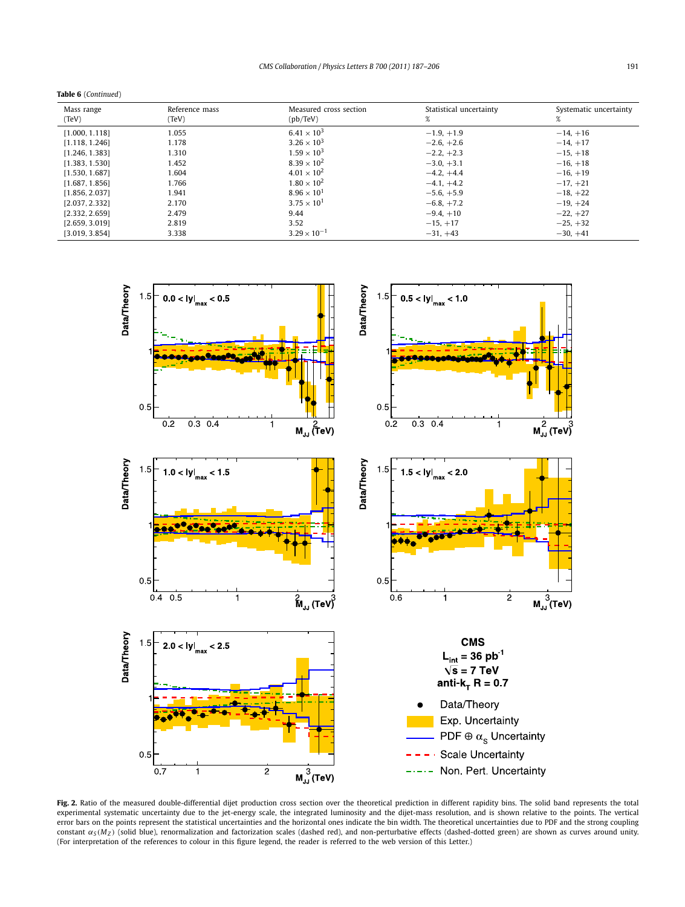<span id="page-4-0"></span>

|  | Table 6 (Continued) |  |
|--|---------------------|--|
|--|---------------------|--|

| Mass range<br>(TeV) | Reference mass<br>(TeV) | Measured cross section<br>(pb/TeV) | Statistical uncertainty<br>% | Systematic uncertainty<br>% |
|---------------------|-------------------------|------------------------------------|------------------------------|-----------------------------|
| [1.000, 1.118]      | 1.055                   | $6.41 \times 10^{3}$               | $-1.9 + 1.9$                 | $-14. +16$                  |
| [1.118, 1.246]      | 1.178                   | $3.26 \times 10^{3}$               | $-2.6, +2.6$                 | $-14. +17$                  |
| [1.246, 1.383]      | 1.310                   | $1.59 \times 10^{3}$               | $-2.2 + 2.3$                 | $-15, +18$                  |
| [1.383, 1.530]      | 1.452                   | $8.39 \times 10^{2}$               | $-3.0 + 3.1$                 | $-16, +18$                  |
| [1.530, 1.687]      | 1.604                   | $4.01 \times 10^{2}$               | $-4.2, +4.4$                 | $-16, +19$                  |
| [1.687, 1.856]      | 1.766                   | $1.80 \times 10^{2}$               | $-4.1 + 4.2$                 | $-17, +21$                  |
| [1.856, 2.037]      | 1.941                   | $8.96 \times 10^{1}$               | $-5.6, +5.9$                 | $-18, +22$                  |
| [2.037, 2.332]      | 2.170                   | $3.75 \times 10^{1}$               | $-6.8, +7.2$                 | $-19, +24$                  |
| [2.332, 2.659]      | 2.479                   | 9.44                               | $-9.4 + 10$                  | $-22, +27$                  |
| [2.659, 3.019]      | 2.819                   | 3.52                               | $-15. +17$                   | $-25, +32$                  |
| [3.019, 3.854]      | 3.338                   | $3.29 \times 10^{-1}$              | $-31, +43$                   | $-30, +41$                  |



Fig. 2. Ratio of the measured double-differential dijet production cross section over the theoretical prediction in different rapidity bins. The solid band represents the total experimental systematic uncertainty due to the jet-energy scale, the integrated luminosity and the dijet-mass resolution, and is shown relative to the points. The vertical error bars on the points represent the statistical uncertainties and the horizontal ones indicate the bin width. The theoretical uncertainties due to PDF and the strong coupling constant  $\alpha_S(M_Z)$  (solid blue), renormalization and factorization scales (dashed red), and non-perturbative effects (dashed-dotted green) are shown as curves around unity. (For interpretation of the references to colour in this figure legend, the reader is referred to the web version of this Letter.)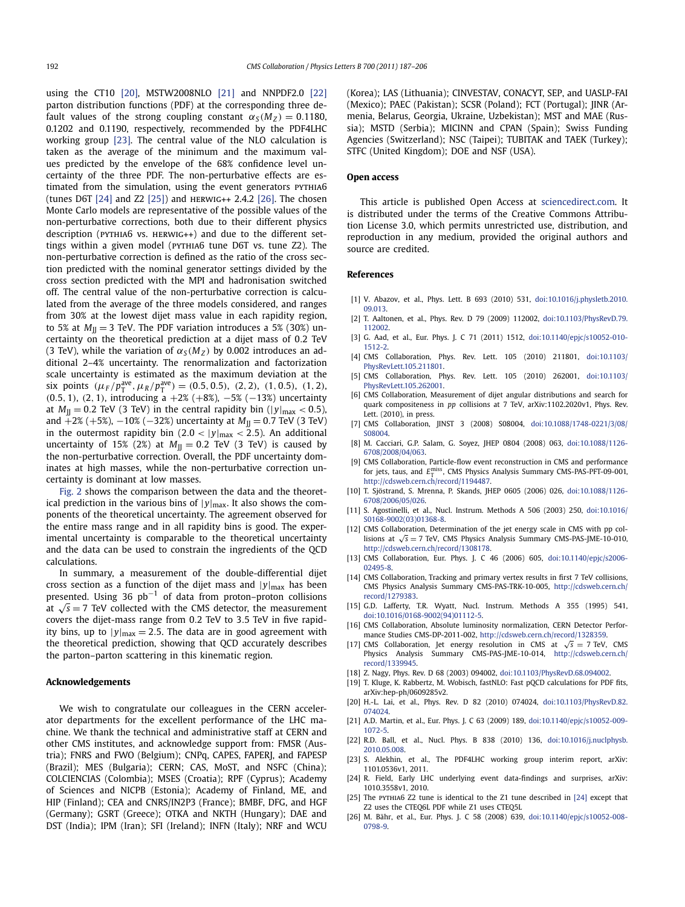<span id="page-5-0"></span>using the CT10 [20], MSTW2008NLO [21] and NNPDF2.0 [22] parton distribution functions (PDF) at the corresponding three default values of the strong coupling constant  $\alpha_S(M_Z) = 0.1180$ , 0.1202 and 0.1190, respectively, recommended by the PDF4LHC working group [23]. The central value of the NLO calculation is taken as the average of the minimum and the maximum values predicted by the envelope of the 68% confidence level uncertainty of the three PDF. The non-perturbative effects are estimated from the simulation, using the event generators PYTHIA6 (tunes D6T [24] and Z2 [25]) and herwig++ 2.4.2 [26]. The chosen Monte Carlo models are representative of the possible values of the non-perturbative corrections, both due to their different physics description (pythia6 vs. herwig++) and due to the different settings within a given model (pythia6 tune D6T vs. tune Z2). The non-perturbative correction is defined as the ratio of the cross section predicted with the nominal generator settings divided by the cross section predicted with the MPI and hadronisation switched off. The central value of the non-perturbative correction is calculated from the average of the three models considered, and ranges from 30% at the lowest dijet mass value in each rapidity region, to 5% at  $M_{\text{II}} = 3$  TeV. The PDF variation introduces a 5% (30%) uncertainty on the theoretical prediction at a dijet mass of 0*.*2 TeV (3 TeV), while the variation of  $\alpha_S(M_Z)$  by 0.002 introduces an additional 2–4% uncertainty. The renormalization and factorization scale uncertainty is estimated as the maximum deviation at the six points  $(\mu_F/p_T^{\text{ave}}, \mu_R/p_T^{\text{ave}}) = (0.5, 0.5), (2, 2), (1, 0.5), (1, 2),$ *(*0*.*5*,* 1*)*, *(*2*,* 1*)*, introducing a +2% (+8%), −5% (−13%) uncertainty at  $M_{\parallel} = 0.2$  TeV (3 TeV) in the central rapidity bin ( $|y|_{\text{max}} < 0.5$ ), and  $+2\%$  ( $+5\%$ ),  $-10\%$  ( $-32\%$ ) uncertainty at  $M_{\parallel} = 0.7$  TeV (3 TeV) in the outermost rapidity bin  $(2.0 < |y|_{max} < 2.5)$ . An additional uncertainty of 15% (2%) at  $M_{\parallel} = 0.2$  TeV (3 TeV) is caused by the non-perturbative correction. Overall, the PDF uncertainty dominates at high masses, while the non-perturbative correction uncertainty is dominant at low masses.

[Fig. 2](#page-4-0) shows the comparison between the data and the theoretical prediction in the various bins of  $|y|_{max}$ . It also shows the components of the theoretical uncertainty. The agreement observed for the entire mass range and in all rapidity bins is good. The experimental uncertainty is comparable to the theoretical uncertainty and the data can be used to constrain the ingredients of the QCD calculations.

In summary, a measurement of the double-differential dijet cross section as a function of the dijet mass and  $|y|_{\text{max}}$  has been presented. Using 36  $pb^{-1}$  of data from proton–proton collisions at  $\sqrt{s}$  = 7 TeV collected with the CMS detector, the measurement covers the dijet-mass range from 0*.*2 TeV to 3*.*5 TeV in five rapidity bins, up to  $|y|_{max} = 2.5$ . The data are in good agreement with the theoretical prediction, showing that QCD accurately describes the parton–parton scattering in this kinematic region.

#### **Acknowledgements**

We wish to congratulate our colleagues in the CERN accelerator departments for the excellent performance of the LHC machine. We thank the technical and administrative staff at CERN and other CMS institutes, and acknowledge support from: FMSR (Austria); FNRS and FWO (Belgium); CNPq, CAPES, FAPERJ, and FAPESP (Brazil); MES (Bulgaria); CERN; CAS, MoST, and NSFC (China); COLCIENCIAS (Colombia); MSES (Croatia); RPF (Cyprus); Academy of Sciences and NICPB (Estonia); Academy of Finland, ME, and HIP (Finland); CEA and CNRS/IN2P3 (France); BMBF, DFG, and HGF (Germany); GSRT (Greece); OTKA and NKTH (Hungary); DAE and DST (India); IPM (Iran); SFI (Ireland); INFN (Italy); NRF and WCU

(Korea); LAS (Lithuania); CINVESTAV, CONACYT, SEP, and UASLP-FAI (Mexico); PAEC (Pakistan); SCSR (Poland); FCT (Portugal); JINR (Armenia, Belarus, Georgia, Ukraine, Uzbekistan); MST and MAE (Russia); MSTD (Serbia); MICINN and CPAN (Spain); Swiss Funding Agencies (Switzerland); NSC (Taipei); TUBITAK and TAEK (Turkey); STFC (United Kingdom); DOE and NSF (USA).

#### **Open access**

This article is published Open Access at [sciencedirect.com](http://www.sciencedirect.com). It is distributed under the terms of the Creative Commons Attribution License 3.0, which permits unrestricted use, distribution, and reproduction in any medium, provided the original authors and source are credited.

#### **References**

- [1] V. Abazov, et al., Phys. Lett. B 693 (2010) 531, [doi:10.1016/j.physletb.2010.](http://dx.doi.org/10.1016/j.physletb.2010.09.013) [09.013.](http://dx.doi.org/10.1016/j.physletb.2010.09.013)
- [2] T. Aaltonen, et al., Phys. Rev. D 79 (2009) 112002, [doi:10.1103/PhysRevD.79.](http://dx.doi.org/10.1103/PhysRevD.79.112002) [112002.](http://dx.doi.org/10.1103/PhysRevD.79.112002)
- [3] G. Aad, et al., Eur. Phys. J. C 71 (2011) 1512, [doi:10.1140/epjc/s10052-010-](http://dx.doi.org/10.1140/epjc/s10052-010-1512-2) [1512-2.](http://dx.doi.org/10.1140/epjc/s10052-010-1512-2)
- [4] CMS Collaboration, Phys. Rev. Lett. 105 (2010) 211801, [doi:10.1103/](http://dx.doi.org/10.1103/PhysRevLett.105.211801) [PhysRevLett.105.211801](http://dx.doi.org/10.1103/PhysRevLett.105.211801).
- [5] CMS Collaboration, Phys. Rev. Lett. 105 (2010) 262001, [doi:10.1103/](http://dx.doi.org/10.1103/PhysRevLett.105.262001) [PhysRevLett.105.262001](http://dx.doi.org/10.1103/PhysRevLett.105.262001).
- [6] CMS Collaboration, Measurement of dijet angular distributions and search for quark compositeness in *pp* collisions at 7 TeV, arXiv:1102.2020v1, Phys. Rev. Lett. (2010), in press.
- [7] CMS Collaboration, JINST 3 (2008) S08004, [doi:10.1088/1748-0221/3/08/](http://dx.doi.org/10.1088/1748-0221/3/08/S08004) [S08004](http://dx.doi.org/10.1088/1748-0221/3/08/S08004).
- [8] M. Cacciari, G.P. Salam, G. Soyez, JHEP 0804 (2008) 063, [doi:10.1088/1126-](http://dx.doi.org/10.1088/1126-6708/2008/04/063) [6708/2008/04/063](http://dx.doi.org/10.1088/1126-6708/2008/04/063).
- [9] CMS Collaboration, Particle-flow event reconstruction in CMS and performance for jets, taus, and  $E_T^{\text{miss}}$ , CMS Physics Analysis Summary CMS-PAS-PFT-09-001, <http://cdsweb.cern.ch/record/1194487>.
- [10] T. Sjöstrand, S. Mrenna, P. Skands, JHEP 0605 (2006) 026, [doi:10.1088/1126-](http://dx.doi.org/10.1088/1126-6708/2006/05/026) [6708/2006/05/026](http://dx.doi.org/10.1088/1126-6708/2006/05/026).
- [11] S. Agostinelli, et al., Nucl. Instrum. Methods A 506 (2003) 250, [doi:10.1016/](http://dx.doi.org/10.1016/S0168-9002(03)01368-8) [S0168-9002\(03\)01368-8.](http://dx.doi.org/10.1016/S0168-9002(03)01368-8)
- [12] CMS Collaboration, Determination of the jet energy scale in CMS with pp collisions at <sup>√</sup>*<sup>s</sup>* <sup>=</sup> 7 TeV, CMS Physics Analysis Summary CMS-PAS-JME-10-010, <http://cdsweb.cern.ch/record/1308178>.
- [13] CMS Collaboration, Eur. Phys. J. C 46 (2006) 605, [doi:10.1140/epjc/s2006-](http://dx.doi.org/10.1140/epjc/s2006-02495-8) [02495-8](http://dx.doi.org/10.1140/epjc/s2006-02495-8).
- [14] CMS Collaboration, Tracking and primary vertex results in first 7 TeV collisions, CMS Physics Analysis Summary CMS-PAS-TRK-10-005, [http://cdsweb.cern.ch/](http://cdsweb.cern.ch/record/1279383) [record/1279383.](http://cdsweb.cern.ch/record/1279383)
- [15] G.D. Lafferty, T.R. Wyatt, Nucl. Instrum. Methods A 355 (1995) 541, [doi:10.1016/0168-9002\(94\)01112-5](http://dx.doi.org/10.1016/0168-9002(94)01112-5).
- [16] CMS Collaboration, Absolute luminosity normalization, CERN Detector Performance Studies CMS-DP-2011-002, <http://cdsweb.cern.ch/record/1328359>.
- [17] CMS Collaboration, Jet energy resolution in CMS at <sup>√</sup>*<sup>s</sup>* <sup>=</sup> 7 TeV, CMS Physics Analysis Summary CMS-PAS-JME-10-014, [http://cdsweb.cern.ch/](http://cdsweb.cern.ch/record/1339945) [record/1339945.](http://cdsweb.cern.ch/record/1339945)
- [18] Z. Nagy, Phys. Rev. D 68 (2003) 094002, [doi:10.1103/PhysRevD.68.094002](http://dx.doi.org/10.1103/PhysRevD.68.094002).
- [19] T. Kluge, K. Rabbertz, M. Wobisch, fastNLO: Fast pQCD calculations for PDF fits, arXiv:hep-ph/0609285v2.
- [20] H.-L. Lai, et al., Phys. Rev. D 82 (2010) 074024, [doi:10.1103/PhysRevD.82.](http://dx.doi.org/10.1103/PhysRevD.82.074024) [074024.](http://dx.doi.org/10.1103/PhysRevD.82.074024)
- [21] A.D. Martin, et al., Eur. Phys. J. C 63 (2009) 189, [doi:10.1140/epjc/s10052-009-](http://dx.doi.org/10.1140/epjc/s10052-009-1072-5) [1072-5.](http://dx.doi.org/10.1140/epjc/s10052-009-1072-5)
- [22] R.D. Ball, et al., Nucl. Phys. B 838 (2010) 136, [doi:10.1016/j.nuclphysb.](http://dx.doi.org/10.1016/j.nuclphysb.2010.05.008) [2010.05.008.](http://dx.doi.org/10.1016/j.nuclphysb.2010.05.008)
- [23] S. Alekhin, et al., The PDF4LHC working group interim report, arXiv: 1101.0536v1, 2011.
- [24] R. Field, Early LHC underlying event data-findings and surprises, arXiv: 1010.3558v1, 2010.
- [25] The PYTHIA6 Z2 tune is identical to the Z1 tune described in [24] except that Z2 uses the CTEQ6L PDF while Z1 uses CTEQ5L
- [26] M. Bähr, et al., Eur. Phys. J. C 58 (2008) 639, [doi:10.1140/epjc/s10052-008-](http://dx.doi.org/10.1140/epjc/s10052-008-0798-9) [0798-9.](http://dx.doi.org/10.1140/epjc/s10052-008-0798-9)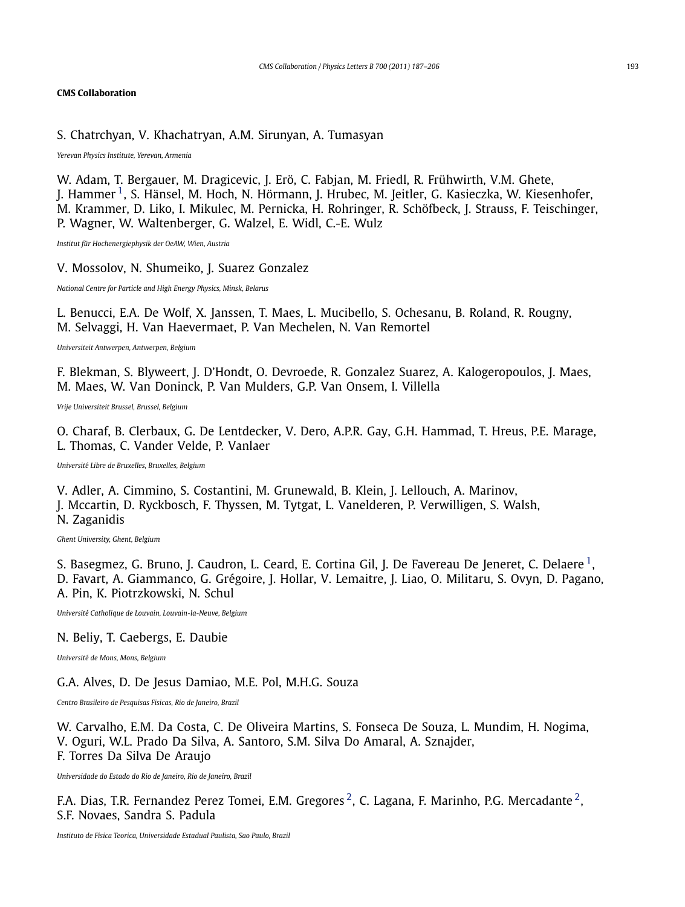#### <span id="page-6-0"></span>**CMS Collaboration**

# S. Chatrchyan, V. Khachatryan, A.M. Sirunyan, A. Tumasyan

*Yerevan Physics Institute, Yerevan, Armenia*

W. Adam, T. Bergauer, M. Dragicevic, J. Erö, C. Fabjan, M. Friedl, R. Frühwirth, V.M. Ghete, J. Hammer <sup>[1](#page-19-0)</sup>, S. Hänsel, M. Hoch, N. Hörmann, J. Hrubec, M. Jeitler, G. Kasieczka, W. Kiesenhofer, M. Krammer, D. Liko, I. Mikulec, M. Pernicka, H. Rohringer, R. Schöfbeck, J. Strauss, F. Teischinger, P. Wagner, W. Waltenberger, G. Walzel, E. Widl, C.-E. Wulz

*Institut für Hochenergiephysik der OeAW, Wien, Austria*

V. Mossolov, N. Shumeiko, J. Suarez Gonzalez

*National Centre for Particle and High Energy Physics, Minsk, Belarus*

L. Benucci, E.A. De Wolf, X. Janssen, T. Maes, L. Mucibello, S. Ochesanu, B. Roland, R. Rougny, M. Selvaggi, H. Van Haevermaet, P. Van Mechelen, N. Van Remortel

*Universiteit Antwerpen, Antwerpen, Belgium*

F. Blekman, S. Blyweert, J. D'Hondt, O. Devroede, R. Gonzalez Suarez, A. Kalogeropoulos, J. Maes, M. Maes, W. Van Doninck, P. Van Mulders, G.P. Van Onsem, I. Villella

*Vrije Universiteit Brussel, Brussel, Belgium*

O. Charaf, B. Clerbaux, G. De Lentdecker, V. Dero, A.P.R. Gay, G.H. Hammad, T. Hreus, P.E. Marage, L. Thomas, C. Vander Velde, P. Vanlaer

*Université Libre de Bruxelles, Bruxelles, Belgium*

V. Adler, A. Cimmino, S. Costantini, M. Grunewald, B. Klein, J. Lellouch, A. Marinov, J. Mccartin, D. Ryckbosch, F. Thyssen, M. Tytgat, L. Vanelderen, P. Verwilligen, S. Walsh, N. Zaganidis

*Ghent University, Ghent, Belgium*

S. Basegmez, G. Bruno, J. Caudron, L. Ceard, E. Cortina Gil, J. De Favereau De Jeneret, C. Delaere<sup>1</sup>, D. Favart, A. Giammanco, G. Grégoire, J. Hollar, V. Lemaitre, J. Liao, O. Militaru, S. Ovyn, D. Pagano, A. Pin, K. Piotrzkowski, N. Schul

*Université Catholique de Louvain, Louvain-la-Neuve, Belgium*

### N. Beliy, T. Caebergs, E. Daubie

*Université de Mons, Mons, Belgium*

G.A. Alves, D. De Jesus Damiao, M.E. Pol, M.H.G. Souza

*Centro Brasileiro de Pesquisas Fisicas, Rio de Janeiro, Brazil*

W. Carvalho, E.M. Da Costa, C. De Oliveira Martins, S. Fonseca De Souza, L. Mundim, H. Nogima, V. Oguri, W.L. Prado Da Silva, A. Santoro, S.M. Silva Do Amaral, A. Sznajder, F. Torres Da Silva De Araujo

*Universidade do Estado do Rio de Janeiro, Rio de Janeiro, Brazil*

F.A. Dias, T.R. Fernandez Perez Tomei, E.M. Gregores<sup>2</sup>, C. Lagana, F. Marinho, P.G. Mercadante<sup>2</sup>, S.F. Novaes, Sandra S. Padula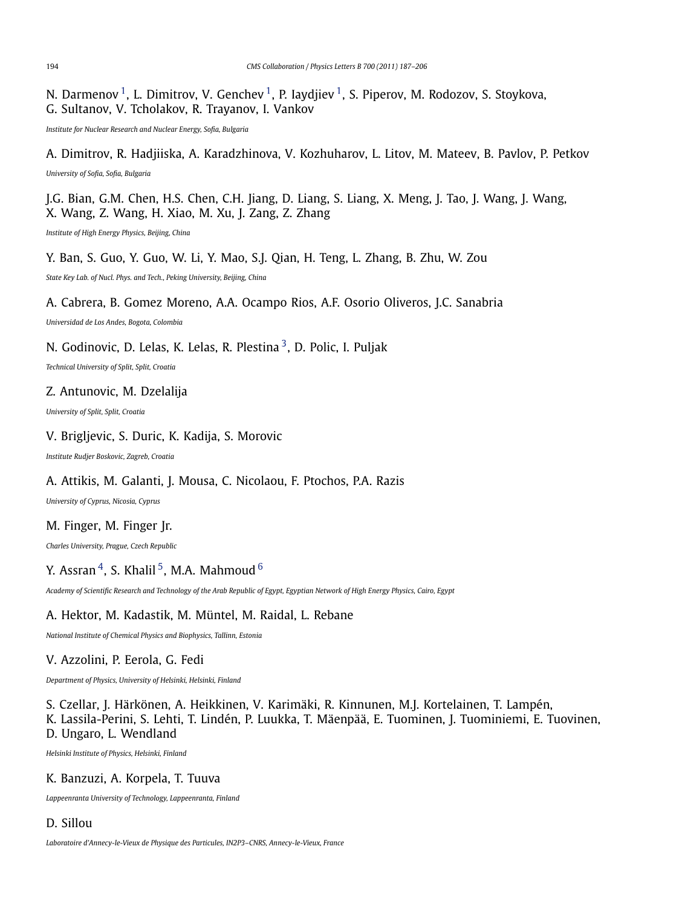N. Darmenov<sup>1</sup>, L. Dimitrov, V. Genchev<sup>1</sup>, P. Iaydjiev<sup>1</sup>, S. Piperov, M. Rodozov, S. Stoykova, G. Sultanov, V. Tcholakov, R. Trayanov, I. Vankov

*Institute for Nuclear Research and Nuclear Energy, Sofia, Bulgaria*

A. Dimitrov, R. Hadjiiska, A. Karadzhinova, V. Kozhuharov, L. Litov, M. Mateev, B. Pavlov, P. Petkov *University of Sofia, Sofia, Bulgaria*

J.G. Bian, G.M. Chen, H.S. Chen, C.H. Jiang, D. Liang, S. Liang, X. Meng, J. Tao, J. Wang, J. Wang, X. Wang, Z. Wang, H. Xiao, M. Xu, J. Zang, Z. Zhang

*Institute of High Energy Physics, Beijing, China*

#### Y. Ban, S. Guo, Y. Guo, W. Li, Y. Mao, S.J. Qian, H. Teng, L. Zhang, B. Zhu, W. Zou

*State Key Lab. of Nucl. Phys. and Tech., Peking University, Beijing, China*

#### A. Cabrera, B. Gomez Moreno, A.A. Ocampo Rios, A.F. Osorio Oliveros, J.C. Sanabria

*Universidad de Los Andes, Bogota, Colombia*

# N. Godinovic, D. Lelas, K. Lelas, R. Plestina<sup>3</sup>, D. Polic, I. Puljak

*Technical University of Split, Split, Croatia*

## Z. Antunovic, M. Dzelalija

*University of Split, Split, Croatia*

### V. Brigljevic, S. Duric, K. Kadija, S. Morovic

*Institute Rudjer Boskovic, Zagreb, Croatia*

## A. Attikis, M. Galanti, J. Mousa, C. Nicolaou, F. Ptochos, P.A. Razis

*University of Cyprus, Nicosia, Cyprus*

## M. Finger, M. Finger Jr.

*Charles University, Prague, Czech Republic*

# Y. Assran  $^4$ , S. Khalil<sup>5</sup>, M.A. Mahmoud <sup>[6](#page-19-0)</sup>

*Academy of Scientific Research and Technology of the Arab Republic of Egypt, Egyptian Network of High Energy Physics, Cairo, Egypt*

#### A. Hektor, M. Kadastik, M. Müntel, M. Raidal, L. Rebane

*National Institute of Chemical Physics and Biophysics, Tallinn, Estonia*

#### V. Azzolini, P. Eerola, G. Fedi

*Department of Physics, University of Helsinki, Helsinki, Finland*

S. Czellar, J. Härkönen, A. Heikkinen, V. Karimäki, R. Kinnunen, M.J. Kortelainen, T. Lampén, K. Lassila-Perini, S. Lehti, T. Lindén, P. Luukka, T. Mäenpää, E. Tuominen, J. Tuominiemi, E. Tuovinen, D. Ungaro, L. Wendland

*Helsinki Institute of Physics, Helsinki, Finland*

#### K. Banzuzi, A. Korpela, T. Tuuva

*Lappeenranta University of Technology, Lappeenranta, Finland*

#### D. Sillou

*Laboratoire d'Annecy-le-Vieux de Physique des Particules, IN2P3–CNRS, Annecy-le-Vieux, France*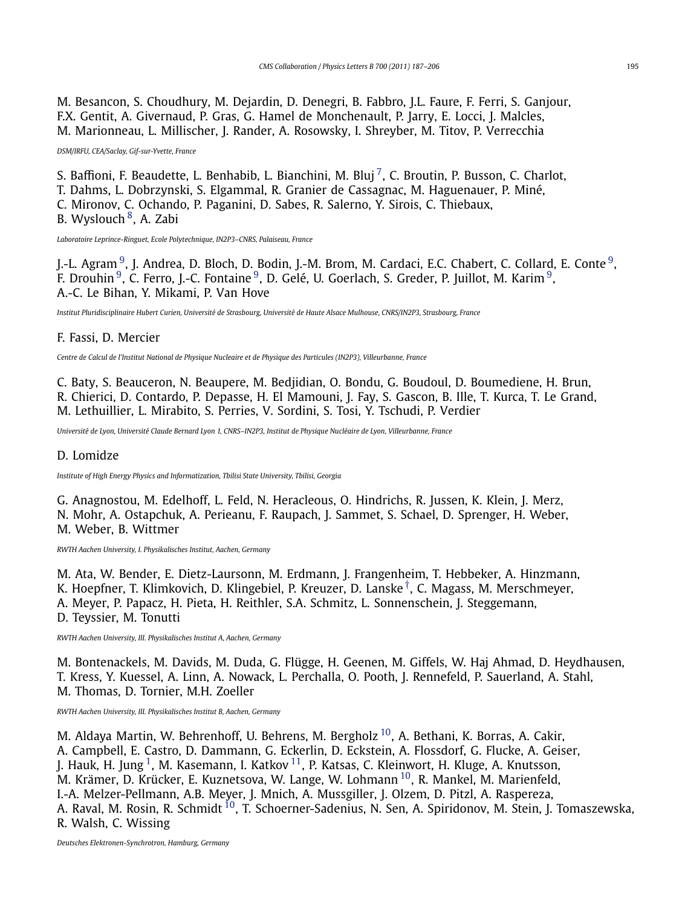M. Besancon, S. Choudhury, M. Dejardin, D. Denegri, B. Fabbro, J.L. Faure, F. Ferri, S. Ganjour, F.X. Gentit, A. Givernaud, P. Gras, G. Hamel de Monchenault, P. Jarry, E. Locci, J. Malcles, M. Marionneau, L. Millischer, J. Rander, A. Rosowsky, I. Shreyber, M. Titov, P. Verrecchia

*DSM/IRFU, CEA/Saclay, Gif-sur-Yvette, France*

S. Baffioni, F. Beaudette, L. Benhabib, L. Bianchini, M. Bluj [7,](#page-19-0) C. Broutin, P. Busson, C. Charlot, T. Dahms, L. Dobrzynski, S. Elgammal, R. Granier de Cassagnac, M. Haguenauer, P. Miné, C. Mironov, C. Ochando, P. Paganini, D. Sabes, R. Salerno, Y. Sirois, C. Thiebaux, B. Wyslouch [8,](#page-19-0) A. Zabi

*Laboratoire Leprince-Ringuet, Ecole Polytechnique, IN2P3–CNRS, Palaiseau, France*

J.-L. Agram<sup>9</sup>, J. Andrea, D. Bloch, D. Bodin, J.-M. Brom, M. Cardaci, E.C. Chabert, C. Collard, E. Conte<sup>9</sup>, F. Drouhin<sup>9</sup>, C. Ferro, J.-C. Fontaine<sup>9</sup>, D. Gelé, U. Goerlach, S. Greder, P. Juillot, M. Karim<sup>9</sup>, A.-C. Le Bihan, Y. Mikami, P. Van Hove

*Institut Pluridisciplinaire Hubert Curien, Université de Strasbourg, Université de Haute Alsace Mulhouse, CNRS/IN2P3, Strasbourg, France*

### F. Fassi, D. Mercier

*Centre de Calcul de l'Institut National de Physique Nucleaire et de Physique des Particules (IN2P3), Villeurbanne, France*

C. Baty, S. Beauceron, N. Beaupere, M. Bedjidian, O. Bondu, G. Boudoul, D. Boumediene, H. Brun, R. Chierici, D. Contardo, P. Depasse, H. El Mamouni, J. Fay, S. Gascon, B. Ille, T. Kurca, T. Le Grand, M. Lethuillier, L. Mirabito, S. Perries, V. Sordini, S. Tosi, Y. Tschudi, P. Verdier

*Université de Lyon, Université Claude Bernard Lyon 1, CNRS–IN2P3, Institut de Physique Nucléaire de Lyon, Villeurbanne, France*

## D. Lomidze

*Institute of High Energy Physics and Informatization, Tbilisi State University, Tbilisi, Georgia*

G. Anagnostou, M. Edelhoff, L. Feld, N. Heracleous, O. Hindrichs, R. Jussen, K. Klein, J. Merz, N. Mohr, A. Ostapchuk, A. Perieanu, F. Raupach, J. Sammet, S. Schael, D. Sprenger, H. Weber, M. Weber, B. Wittmer

*RWTH Aachen University, I. Physikalisches Institut, Aachen, Germany*

M. Ata, W. Bender, E. Dietz-Laursonn, M. Erdmann, J. Frangenheim, T. Hebbeker, A. Hinzmann, K. Hoepfner, T. Klimkovich, D. Klingebiel, P. Kreuzer, D. Lanske [†](#page-19-0), C. Magass, M. Merschmeyer, A. Meyer, P. Papacz, H. Pieta, H. Reithler, S.A. Schmitz, L. Sonnenschein, J. Steggemann, D. Teyssier, M. Tonutti

*RWTH Aachen University, III. Physikalisches Institut A, Aachen, Germany*

M. Bontenackels, M. Davids, M. Duda, G. Flügge, H. Geenen, M. Giffels, W. Haj Ahmad, D. Heydhausen, T. Kress, Y. Kuessel, A. Linn, A. Nowack, L. Perchalla, O. Pooth, J. Rennefeld, P. Sauerland, A. Stahl, M. Thomas, D. Tornier, M.H. Zoeller

*RWTH Aachen University, III. Physikalisches Institut B, Aachen, Germany*

M. Aldaya Martin, W. Behrenhoff, U. Behrens, M. Bergholz<sup>10</sup>, A. Bethani, K. Borras, A. Cakir, A. Campbell, E. Castro, D. Dammann, G. Eckerlin, D. Eckstein, A. Flossdorf, G. Flucke, A. Geiser, J. Hauk, H. Jung <sup>1</sup>, M. Kasemann, I. Katkov <sup>11</sup>, P. Katsas, C. Kleinwort, H. Kluge, A. Knutsson, M. Krämer, D. Krücker, E. Kuznetsova, W. Lange, W. Lohmann [10](#page-19-0), R. Mankel, M. Marienfeld, I.-A. Melzer-Pellmann, A.B. Meyer, J. Mnich, A. Mussgiller, J. Olzem, D. Pitzl, A. Raspereza, A. Raval, M. Rosin, R. Schmidt<sup>10</sup>, T. Schoerner-Sadenius, N. Sen, A. Spiridonov, M. Stein, J. Tomaszewska, R. Walsh, C. Wissing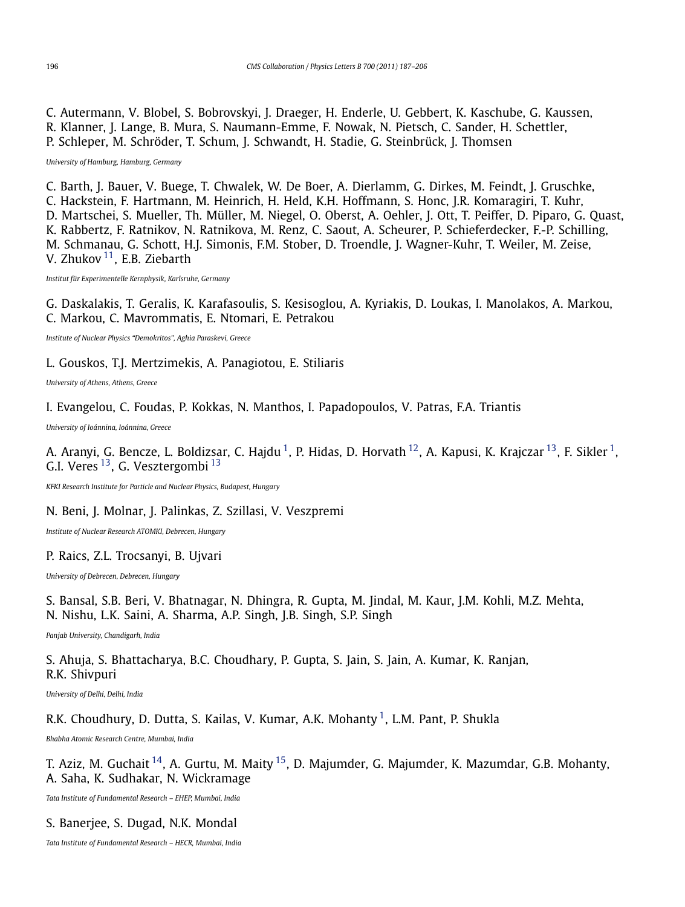C. Autermann, V. Blobel, S. Bobrovskyi, J. Draeger, H. Enderle, U. Gebbert, K. Kaschube, G. Kaussen, R. Klanner, J. Lange, B. Mura, S. Naumann-Emme, F. Nowak, N. Pietsch, C. Sander, H. Schettler, P. Schleper, M. Schröder, T. Schum, J. Schwandt, H. Stadie, G. Steinbrück, J. Thomsen

*University of Hamburg, Hamburg, Germany*

C. Barth, J. Bauer, V. Buege, T. Chwalek, W. De Boer, A. Dierlamm, G. Dirkes, M. Feindt, J. Gruschke, C. Hackstein, F. Hartmann, M. Heinrich, H. Held, K.H. Hoffmann, S. Honc, J.R. Komaragiri, T. Kuhr, D. Martschei, S. Mueller, Th. Müller, M. Niegel, O. Oberst, A. Oehler, J. Ott, T. Peiffer, D. Piparo, G. Quast, K. Rabbertz, F. Ratnikov, N. Ratnikova, M. Renz, C. Saout, A. Scheurer, P. Schieferdecker, F.-P. Schilling, M. Schmanau, G. Schott, H.J. Simonis, F.M. Stober, D. Troendle, J. Wagner-Kuhr, T. Weiler, M. Zeise, V. Zhukov $^{11}$ , E.B. Ziebarth

*Institut für Experimentelle Kernphysik, Karlsruhe, Germany*

G. Daskalakis, T. Geralis, K. Karafasoulis, S. Kesisoglou, A. Kyriakis, D. Loukas, I. Manolakos, A. Markou, C. Markou, C. Mavrommatis, E. Ntomari, E. Petrakou

*Institute of Nuclear Physics "Demokritos", Aghia Paraskevi, Greece*

L. Gouskos, T.J. Mertzimekis, A. Panagiotou, E. Stiliaris

*University of Athens, Athens, Greece*

I. Evangelou, C. Foudas, P. Kokkas, N. Manthos, I. Papadopoulos, V. Patras, F.A. Triantis

*University of Ioánnina, Ioánnina, Greece*

A. Aranyi, G. Bencze, L. Boldizsar, C. Hajdu <sup>1</sup>, P. Hidas, D. Horvath <sup>12</sup>, A. Kapusi, K. Krajczar <sup>13</sup>, F. Sikler <sup>1</sup>, G.I. Veres  $^{13}$  $^{13}$  $^{13}$ , G. Vesztergombi  $^{13}$ 

*KFKI Research Institute for Particle and Nuclear Physics, Budapest, Hungary*

N. Beni, J. Molnar, J. Palinkas, Z. Szillasi, V. Veszpremi

*Institute of Nuclear Research ATOMKI, Debrecen, Hungary*

P. Raics, Z.L. Trocsanyi, B. Ujvari

*University of Debrecen, Debrecen, Hungary*

S. Bansal, S.B. Beri, V. Bhatnagar, N. Dhingra, R. Gupta, M. Jindal, M. Kaur, J.M. Kohli, M.Z. Mehta, N. Nishu, L.K. Saini, A. Sharma, A.P. Singh, J.B. Singh, S.P. Singh

*Panjab University, Chandigarh, India*

S. Ahuja, S. Bhattacharya, B.C. Choudhary, P. Gupta, S. Jain, S. Jain, A. Kumar, K. Ranjan, R.K. Shivpuri

*University of Delhi, Delhi, India*

R.K. Choudhury, D. Dutta, S. Kailas, V. Kumar, A.K. Mohanty [1,](#page-19-0) L.M. Pant, P. Shukla

*Bhabha Atomic Research Centre, Mumbai, India*

T. Aziz, M. Guchait<sup>14</sup>, A. Gurtu, M. Maity<sup>15</sup>, D. Majumder, G. Majumder, K. Mazumdar, G.B. Mohanty, A. Saha, K. Sudhakar, N. Wickramage

*Tata Institute of Fundamental Research – EHEP, Mumbai, India*

#### S. Banerjee, S. Dugad, N.K. Mondal

*Tata Institute of Fundamental Research – HECR, Mumbai, India*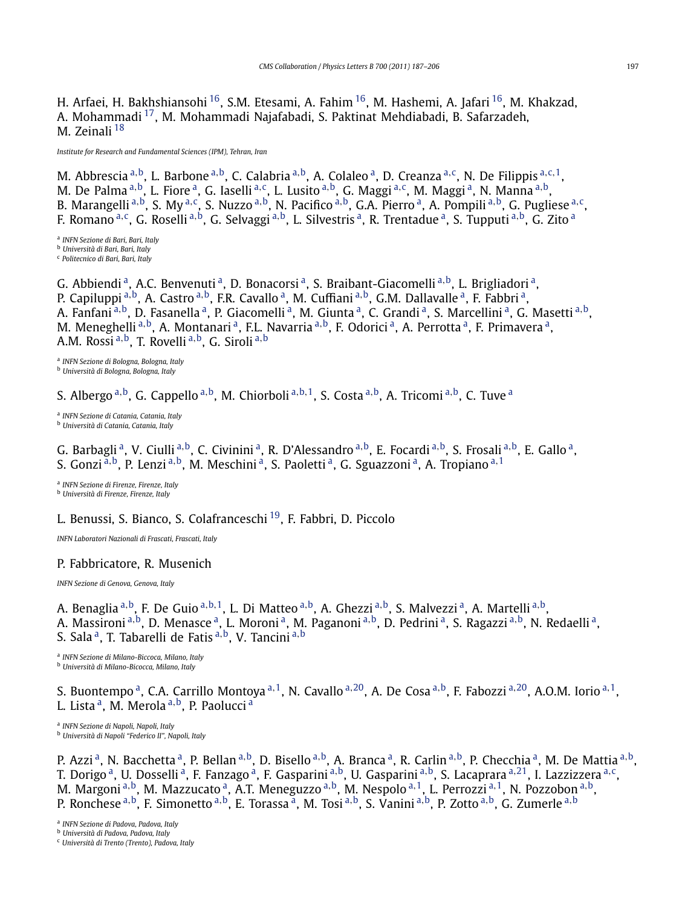H. Arfaei, H. Bakhshiansohi [16,](#page-19-0) S.M. Etesami, A. Fahim [16,](#page-19-0) M. Hashemi, A. Jafari [16](#page-19-0), M. Khakzad, A. Mohammadi [17](#page-19-0), M. Mohammadi Najafabadi, S. Paktinat Mehdiabadi, B. Safarzadeh, M. Zeinali [18](#page-19-0)

*Institute for Research and Fundamental Sciences (IPM), Tehran, Iran*

M. Abbrescia <sup>a</sup>*,*b, L. Barbone <sup>a</sup>*,*b, C. Calabria <sup>a</sup>*,*b, A. Colaleo a, D. Creanza <sup>a</sup>*,*c, N. De Filippis <sup>a</sup>*,*c*,*[1,](#page-19-0) M. De Palma <sup>a</sup>*,*b, L. Fiore a, G. Iaselli <sup>a</sup>*,*c, L. Lusito <sup>a</sup>*,*b, G. Maggi <sup>a</sup>*,*c, M. Maggi a, N. Manna <sup>a</sup>*,*b, B. Marangelli <sup>a</sup>*,*b, S. My <sup>a</sup>*,*c, S. Nuzzo <sup>a</sup>*,*b, N. Pacifico <sup>a</sup>*,*b, G.A. Pierro a, A. Pompili <sup>a</sup>*,*b, G. Pugliese <sup>a</sup>*,*c, F. Romano <sup>a</sup>*,*c, G. Roselli <sup>a</sup>*,*b, G. Selvaggi <sup>a</sup>*,*b, L. Silvestris a, R. Trentadue a, S. Tupputi <sup>a</sup>*,*b, G. Zito <sup>a</sup>

<sup>a</sup> *INFN Sezione di Bari, Bari, Italy*

<sup>b</sup> *Università di Bari, Bari, Italy*

<sup>c</sup> *Politecnico di Bari, Bari, Italy*

G. Abbiendi<sup>a</sup>, A.C. Benvenuti<sup>a</sup>, D. Bonacorsi<sup>a</sup>, S. Braibant-Giacomelli<sup>a, b</sup>, L. Brigliadori<sup>a</sup>, P. Capiluppi a,b, A. Castro a,b, F.R. Cavallo <sup>a</sup>, M. Cuffiani a,b, G.M. Dallavalle <sup>a</sup>, F. Fabbri <sup>a</sup>, A. Fanfani<sup>a,b</sup>, D. Fasanella<sup>a</sup>, P. Giacomelli<sup>a</sup>, M. Giunta<sup>a</sup>, C. Grandi<sup>a</sup>, S. Marcellini<sup>a</sup>, G. Masetti<sup>a,b</sup>, M. Meneghelli a, b, A. Montanari <sup>a</sup>, F.L. Navarria a, b, F. Odorici <sup>a</sup>, A. Perrotta <sup>a</sup>, F. Primavera <sup>a</sup>, A.M. Rossi <sup>a</sup>*,*b, T. Rovelli <sup>a</sup>*,*b, G. Siroli <sup>a</sup>*,*<sup>b</sup>

<sup>a</sup> *INFN Sezione di Bologna, Bologna, Italy* <sup>b</sup> *Università di Bologna, Bologna, Italy*

S. Albergo <sup>a</sup>*,*b, G. Cappello <sup>a</sup>*,*b, M. Chiorboli <sup>a</sup>*,*b*,*[1,](#page-19-0) S. Costa <sup>a</sup>*,*b, A. Tricomi <sup>a</sup>*,*b, C. Tuve <sup>a</sup>

<sup>a</sup> *INFN Sezione di Catania, Catania, Italy* <sup>b</sup> *Università di Catania, Catania, Italy*

G. Barbagli<sup>a</sup>, V. Ciulli<sup>a,b</sup>, C. Civinini<sup>a</sup>, R. D'Alessandro<sup>a,b</sup>, E. Focardi<sup>a,b</sup>, S. Frosali<sup>a,b</sup>, E. Gallo<sup>a</sup>. S. Gonzi <sup>a</sup>*,*b, P. Lenzi <sup>a</sup>*,*b, M. Meschini a, S. Paoletti a, G. Sguazzoni a, A. Tropiano <sup>a</sup>*,*[1](#page-19-0)

<sup>a</sup> *INFN Sezione di Firenze, Firenze, Italy* <sup>b</sup> *Università di Firenze, Firenze, Italy*

# L. Benussi, S. Bianco, S. Colafranceschi<sup>19</sup>, F. Fabbri, D. Piccolo

*INFN Laboratori Nazionali di Frascati, Frascati, Italy*

#### P. Fabbricatore, R. Musenich

*INFN Sezione di Genova, Genova, Italy*

A. Benaglia <sup>a</sup>*,*b, F. De Guio <sup>a</sup>*,*b*,*[1,](#page-19-0) L. Di Matteo <sup>a</sup>*,*b, A. Ghezzi <sup>a</sup>*,*b, S. Malvezzi a, A. Martelli <sup>a</sup>*,*b, A. Massironi <sup>a</sup>*,*b, D. Menasce a, L. Moroni a, M. Paganoni <sup>a</sup>*,*b, D. Pedrini a, S. Ragazzi <sup>a</sup>*,*b, N. Redaelli a, S. Sala a, T. Tabarelli de Fatis <sup>a</sup>*,*b, V. Tancini <sup>a</sup>*,*<sup>b</sup>

<sup>a</sup> *INFN Sezione di Milano-Biccoca, Milano, Italy*

<sup>b</sup> *Università di Milano-Bicocca, Milano, Italy*

S. Buontempo a, C.A. Carrillo Montoya <sup>a</sup>*,*[1,](#page-19-0) N. Cavallo <sup>a</sup>*,*[20,](#page-19-0) A. De Cosa <sup>a</sup>*,*b, F. Fabozzi <sup>a</sup>*,*[20,](#page-19-0) A.O.M. Iorio <sup>a</sup>*,*[1,](#page-19-0) L. Lista a, M. Merola <sup>a</sup>*,*b, P. Paolucci <sup>a</sup>

<sup>a</sup> *INFN Sezione di Napoli, Napoli, Italy* <sup>b</sup> *Università di Napoli "Federico II", Napoli, Italy*

P. Azzi<sup>a</sup>, N. Bacchetta<sup>a</sup>, P. Bellan<sup>a,b</sup>, D. Bisello<sup>a,b</sup>, A. Branca<sup>a</sup>, R. Carlin<sup>a,b</sup>, P. Checchia<sup>a</sup>, M. De Mattia<sup>a,b</sup>, T. Dorigo <sup>a</sup>, U. Dosselli <sup>a</sup>, F. Fanzago <sup>a</sup>, F. Gasparini <sup>a,b</sup>, U. Gasparini <sup>a,b</sup>, S. Lacaprara <sup>a,21</sup>, I. Lazzizzera <sup>a,c</sup>, M. Margoni <sup>a</sup>*,*b, M. Mazzucato a, A.T. Meneguzzo <sup>a</sup>*,*b, M. Nespolo <sup>a</sup>*,*[1](#page-19-0), L. Perrozzi <sup>a</sup>*,*[1,](#page-19-0) N. Pozzobon <sup>a</sup>*,*b, P. Ronchese <sup>a</sup>*,*b, F. Simonetto <sup>a</sup>*,*b, E. Torassa a, M. Tosi <sup>a</sup>*,*b, S. Vanini <sup>a</sup>*,*b, P. Zotto <sup>a</sup>*,*b, G. Zumerle <sup>a</sup>*,*<sup>b</sup>

<sup>a</sup> *INFN Sezione di Padova, Padova, Italy*

<sup>b</sup> *Università di Padova, Padova, Italy*

<sup>c</sup> *Università di Trento (Trento), Padova, Italy*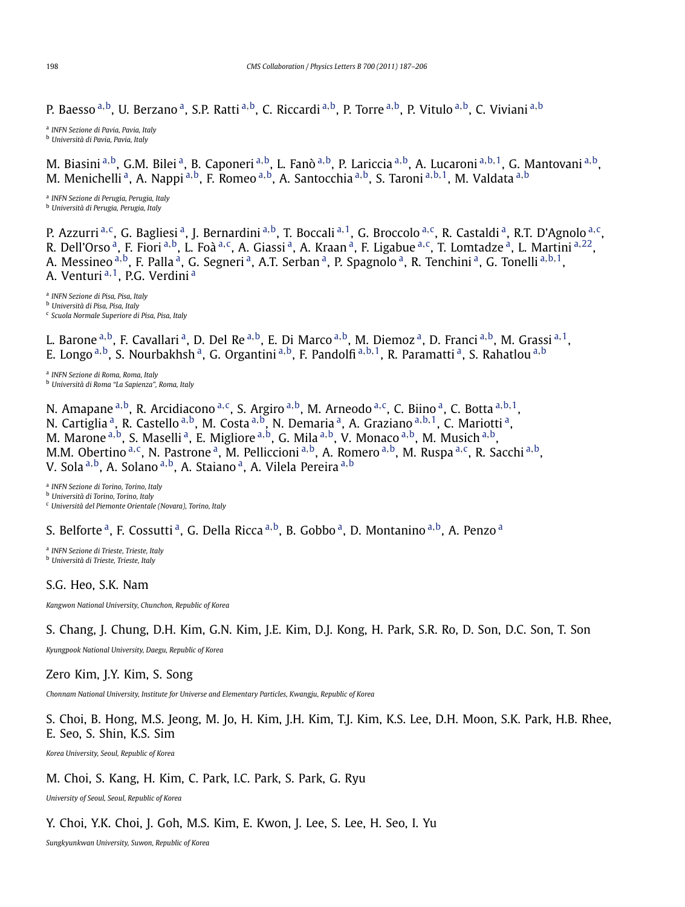# P. Baesso <sup>a</sup>*,*b, U. Berzano a, S.P. Ratti <sup>a</sup>*,*b, C. Riccardi <sup>a</sup>*,*b, P. Torre <sup>a</sup>*,*b, P. Vitulo <sup>a</sup>*,*b, C. Viviani <sup>a</sup>*,*<sup>b</sup>

<sup>a</sup> *INFN Sezione di Pavia, Pavia, Italy* <sup>b</sup> *Università di Pavia, Pavia, Italy*

M. Biasini <sup>a</sup>*,*b, G.M. Bilei a, B. Caponeri <sup>a</sup>*,*b, L. Fanò <sup>a</sup>*,*b, P. Lariccia <sup>a</sup>*,*b, A. Lucaroni <sup>a</sup>*,*b*,*[1,](#page-19-0) G. Mantovani <sup>a</sup>*,*b, M. Menichelli a, A. Nappi <sup>a</sup>*,*b, F. Romeo <sup>a</sup>*,*b, A. Santocchia <sup>a</sup>*,*b, S. Taroni <sup>a</sup>*,*b*,*[1,](#page-19-0) M. Valdata <sup>a</sup>*,*<sup>b</sup>

<sup>a</sup> *INFN Sezione di Perugia, Perugia, Italy*

<sup>b</sup> *Università di Perugia, Perugia, Italy*

P. Azzurri <sup>a</sup>*,*c, G. Bagliesi a, J. Bernardini <sup>a</sup>*,*b, T. Boccali <sup>a</sup>*,*[1](#page-19-0), G. Broccolo <sup>a</sup>*,*c, R. Castaldi a, R.T. D'Agnolo <sup>a</sup>*,*c, R. Dell'Orso a, F. Fiori <sup>a</sup>*,*b, L. Foà <sup>a</sup>*,*c, A. Giassi a, A. Kraan a, F. Ligabue <sup>a</sup>*,*c, T. Lomtadze a, L. Martini <sup>a</sup>*,*[22,](#page-19-0) A. Messineo a, b, F. Palla <sup>a</sup>, G. Segneri <sup>a</sup>, A.T. Serban <sup>a</sup>, P. Spagnolo <sup>a</sup>, R. Tenchini <sup>a</sup>, G. Tonelli a, b, [1,](#page-19-0) A. Venturi <sup>a</sup>*,*[1,](#page-19-0) P.G. Verdini <sup>a</sup>

<sup>a</sup> *INFN Sezione di Pisa, Pisa, Italy* <sup>b</sup> *Università di Pisa, Pisa, Italy*

<sup>c</sup> *Scuola Normale Superiore di Pisa, Pisa, Italy*

L. Barone <sup>a</sup>*,*b, F. Cavallari a, D. Del Re <sup>a</sup>*,*b, E. Di Marco <sup>a</sup>*,*b, M. Diemoz a, D. Franci <sup>a</sup>*,*b, M. Grassi <sup>a</sup>*,*[1,](#page-19-0) E. Longo <sup>a</sup>*,*b, S. Nourbakhsh a, G. Organtini <sup>a</sup>*,*b, F. Pandolfi <sup>a</sup>*,*b*,*[1,](#page-19-0) R. Paramatti a, S. Rahatlou <sup>a</sup>*,*<sup>b</sup>

<sup>a</sup> *INFN Sezione di Roma, Roma, Italy* <sup>b</sup> *Università di Roma "La Sapienza", Roma, Italy*

N. Amapane <sup>a</sup>*,*b, R. Arcidiacono <sup>a</sup>*,*c, S. Argiro <sup>a</sup>*,*b, M. Arneodo <sup>a</sup>*,*c, C. Biino a, C. Botta <sup>a</sup>*,*b*,*[1,](#page-19-0) N. Cartiglia a, R. Castello <sup>a</sup>*,*b, M. Costa <sup>a</sup>*,*b, N. Demaria a, A. Graziano <sup>a</sup>*,*b*,*[1,](#page-19-0) C. Mariotti a, M. Marone <sup>a</sup>*,*b, S. Maselli a, E. Migliore <sup>a</sup>*,*b, G. Mila <sup>a</sup>*,*b, V. Monaco <sup>a</sup>*,*b, M. Musich <sup>a</sup>*,*b, M.M. Obertino <sup>a</sup>*,*c, N. Pastrone a, M. Pelliccioni <sup>a</sup>*,*b, A. Romero <sup>a</sup>*,*b, M. Ruspa <sup>a</sup>*,*c, R. Sacchi <sup>a</sup>*,*b, V. Sola <sup>a</sup>*,*b, A. Solano <sup>a</sup>*,*b, A. Staiano a, A. Vilela Pereira <sup>a</sup>*,*<sup>b</sup>

<sup>a</sup> *INFN Sezione di Torino, Torino, Italy*

<sup>b</sup> *Università di Torino, Torino, Italy*

<sup>c</sup> *Università del Piemonte Orientale (Novara), Torino, Italy*

# S. Belforte<sup>a</sup>, F. Cossutti<sup>a</sup>, G. Della Ricca<sup>a,b</sup>, B. Gobbo<sup>a</sup>, D. Montanino<sup>a,b</sup>, A. Penzo<sup>a</sup>

<sup>a</sup> *INFN Sezione di Trieste, Trieste, Italy* <sup>b</sup> *Università di Trieste, Trieste, Italy*

S.G. Heo, S.K. Nam

*Kangwon National University, Chunchon, Republic of Korea*

S. Chang, J. Chung, D.H. Kim, G.N. Kim, J.E. Kim, D.J. Kong, H. Park, S.R. Ro, D. Son, D.C. Son, T. Son

*Kyungpook National University, Daegu, Republic of Korea*

# Zero Kim, J.Y. Kim, S. Song

*Chonnam National University, Institute for Universe and Elementary Particles, Kwangju, Republic of Korea*

S. Choi, B. Hong, M.S. Jeong, M. Jo, H. Kim, J.H. Kim, T.J. Kim, K.S. Lee, D.H. Moon, S.K. Park, H.B. Rhee, E. Seo, S. Shin, K.S. Sim

*Korea University, Seoul, Republic of Korea*

M. Choi, S. Kang, H. Kim, C. Park, I.C. Park, S. Park, G. Ryu

*University of Seoul, Seoul, Republic of Korea*

Y. Choi, Y.K. Choi, J. Goh, M.S. Kim, E. Kwon, J. Lee, S. Lee, H. Seo, I. Yu

*Sungkyunkwan University, Suwon, Republic of Korea*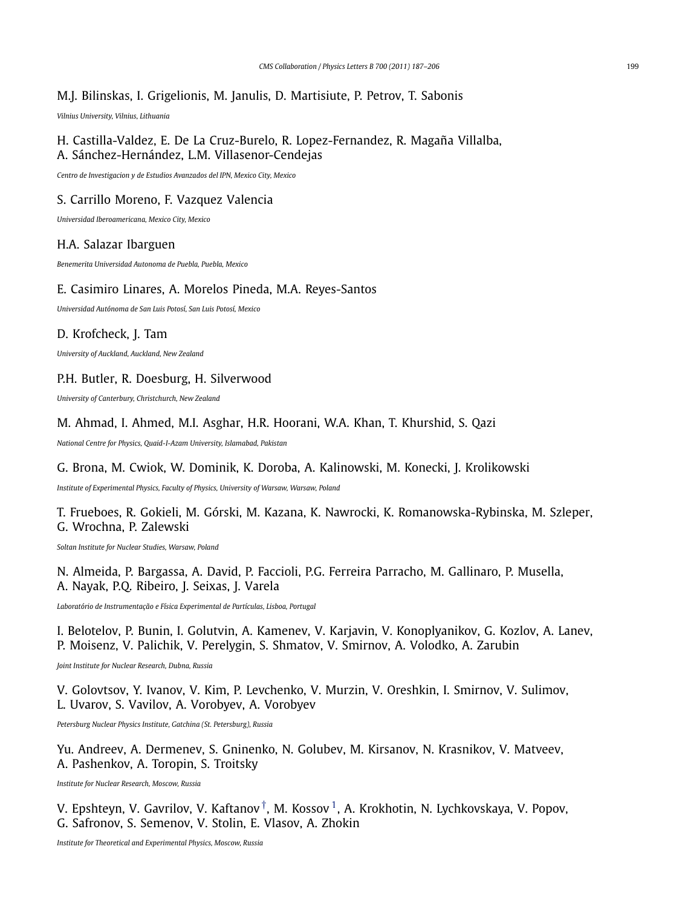# M.J. Bilinskas, I. Grigelionis, M. Janulis, D. Martisiute, P. Petrov, T. Sabonis

*Vilnius University, Vilnius, Lithuania*

# H. Castilla-Valdez, E. De La Cruz-Burelo, R. Lopez-Fernandez, R. Magaña Villalba, A. Sánchez-Hernández, L.M. Villasenor-Cendejas

*Centro de Investigacion y de Estudios Avanzados del IPN, Mexico City, Mexico*

#### S. Carrillo Moreno, F. Vazquez Valencia

*Universidad Iberoamericana, Mexico City, Mexico*

## H.A. Salazar Ibarguen

*Benemerita Universidad Autonoma de Puebla, Puebla, Mexico*

#### E. Casimiro Linares, A. Morelos Pineda, M.A. Reyes-Santos

*Universidad Autónoma de San Luis Potosí, San Luis Potosí, Mexico*

## D. Krofcheck, J. Tam

*University of Auckland, Auckland, New Zealand*

#### P.H. Butler, R. Doesburg, H. Silverwood

*University of Canterbury, Christchurch, New Zealand*

#### M. Ahmad, I. Ahmed, M.I. Asghar, H.R. Hoorani, W.A. Khan, T. Khurshid, S. Qazi

*National Centre for Physics, Quaid-I-Azam University, Islamabad, Pakistan*

#### G. Brona, M. Cwiok, W. Dominik, K. Doroba, A. Kalinowski, M. Konecki, J. Krolikowski

*Institute of Experimental Physics, Faculty of Physics, University of Warsaw, Warsaw, Poland*

## T. Frueboes, R. Gokieli, M. Górski, M. Kazana, K. Nawrocki, K. Romanowska-Rybinska, M. Szleper, G. Wrochna, P. Zalewski

*Soltan Institute for Nuclear Studies, Warsaw, Poland*

N. Almeida, P. Bargassa, A. David, P. Faccioli, P.G. Ferreira Parracho, M. Gallinaro, P. Musella, A. Nayak, P.Q. Ribeiro, J. Seixas, J. Varela

*Laboratório de Instrumentação e Física Experimental de Partículas, Lisboa, Portugal*

I. Belotelov, P. Bunin, I. Golutvin, A. Kamenev, V. Karjavin, V. Konoplyanikov, G. Kozlov, A. Lanev, P. Moisenz, V. Palichik, V. Perelygin, S. Shmatov, V. Smirnov, A. Volodko, A. Zarubin

*Joint Institute for Nuclear Research, Dubna, Russia*

V. Golovtsov, Y. Ivanov, V. Kim, P. Levchenko, V. Murzin, V. Oreshkin, I. Smirnov, V. Sulimov, L. Uvarov, S. Vavilov, A. Vorobyev, A. Vorobyev

*Petersburg Nuclear Physics Institute, Gatchina (St. Petersburg), Russia*

Yu. Andreev, A. Dermenev, S. Gninenko, N. Golubev, M. Kirsanov, N. Krasnikov, V. Matveev, A. Pashenkov, A. Toropin, S. Troitsky

*Institute for Nuclear Research, Moscow, Russia*

V. Epshteyn, V. Gavrilov, V. Kaftanov<sup>†</sup>, M. Kossov<sup>1</sup>, A. Krokhotin, N. Lychkovskaya, V. Popov, G. Safronov, S. Semenov, V. Stolin, E. Vlasov, A. Zhokin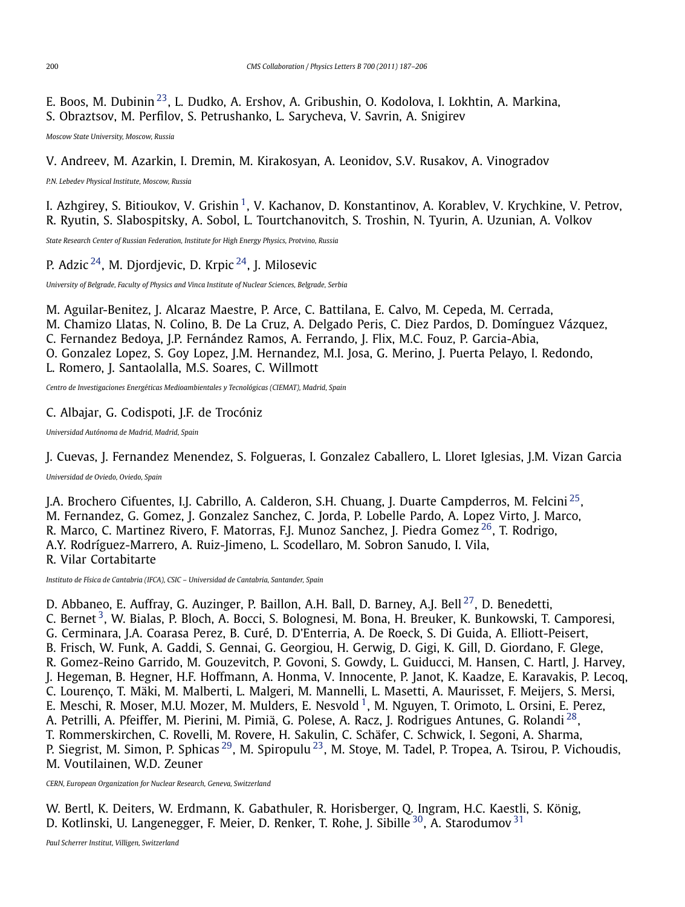E. Boos, M. Dubinin [23,](#page-19-0) L. Dudko, A. Ershov, A. Gribushin, O. Kodolova, I. Lokhtin, A. Markina, S. Obraztsov, M. Perfilov, S. Petrushanko, L. Sarycheva, V. Savrin, A. Snigirev

*Moscow State University, Moscow, Russia*

## V. Andreev, M. Azarkin, I. Dremin, M. Kirakosyan, A. Leonidov, S.V. Rusakov, A. Vinogradov

*P.N. Lebedev Physical Institute, Moscow, Russia*

I. Azhgirey, S. Bitioukov, V. Grishin<sup>[1](#page-19-0)</sup>, V. Kachanov, D. Konstantinov, A. Korablev, V. Krychkine, V. Petrov, R. Ryutin, S. Slabospitsky, A. Sobol, L. Tourtchanovitch, S. Troshin, N. Tyurin, A. Uzunian, A. Volkov

*State Research Center of Russian Federation, Institute for High Energy Physics, Protvino, Russia*

P. Adzic<sup>24</sup>, M. Djordjevic, D. Krpic<sup>24</sup>, J. Milosevic

*University of Belgrade, Faculty of Physics and Vinca Institute of Nuclear Sciences, Belgrade, Serbia*

M. Aguilar-Benitez, J. Alcaraz Maestre, P. Arce, C. Battilana, E. Calvo, M. Cepeda, M. Cerrada, M. Chamizo Llatas, N. Colino, B. De La Cruz, A. Delgado Peris, C. Diez Pardos, D. Domínguez Vázquez, C. Fernandez Bedoya, J.P. Fernández Ramos, A. Ferrando, J. Flix, M.C. Fouz, P. Garcia-Abia, O. Gonzalez Lopez, S. Goy Lopez, J.M. Hernandez, M.I. Josa, G. Merino, J. Puerta Pelayo, I. Redondo, L. Romero, J. Santaolalla, M.S. Soares, C. Willmott

*Centro de Investigaciones Energéticas Medioambientales y Tecnológicas (CIEMAT), Madrid, Spain*

## C. Albajar, G. Codispoti, J.F. de Trocóniz

*Universidad Autónoma de Madrid, Madrid, Spain*

*Universidad de Oviedo, Oviedo, Spain*

J.A. Brochero Cifuentes, I.J. Cabrillo, A. Calderon, S.H. Chuang, J. Duarte Campderros, M. Felcini [25,](#page-19-0) M. Fernandez, G. Gomez, J. Gonzalez Sanchez, C. Jorda, P. Lobelle Pardo, A. Lopez Virto, J. Marco, R. Marco, C. Martinez Rivero, F. Matorras, F.J. Munoz Sanchez, J. Piedra Gomez  $^{26}$ , T. Rodrigo, A.Y. Rodríguez-Marrero, A. Ruiz-Jimeno, L. Scodellaro, M. Sobron Sanudo, I. Vila, R. Vilar Cortabitarte

*Instituto de Física de Cantabria (IFCA), CSIC – Universidad de Cantabria, Santander, Spain*

D. Abbaneo, E. Auffray, G. Auzinger, P. Baillon, A.H. Ball, D. Barney, A.J. Bell<sup>27</sup>, D. Benedetti, C. Bernet<sup>3</sup>, W. Bialas, P. Bloch, A. Bocci, S. Bolognesi, M. Bona, H. Breuker, K. Bunkowski, T. Camporesi, G. Cerminara, J.A. Coarasa Perez, B. Curé, D. D'Enterria, A. De Roeck, S. Di Guida, A. Elliott-Peisert, B. Frisch, W. Funk, A. Gaddi, S. Gennai, G. Georgiou, H. Gerwig, D. Gigi, K. Gill, D. Giordano, F. Glege, R. Gomez-Reino Garrido, M. Gouzevitch, P. Govoni, S. Gowdy, L. Guiducci, M. Hansen, C. Hartl, J. Harvey, J. Hegeman, B. Hegner, H.F. Hoffmann, A. Honma, V. Innocente, P. Janot, K. Kaadze, E. Karavakis, P. Lecoq, C. Lourenço, T. Mäki, M. Malberti, L. Malgeri, M. Mannelli, L. Masetti, A. Maurisset, F. Meijers, S. Mersi, E. Meschi, R. Moser, M.U. Mozer, M. Mulders, E. Nesvold [1,](#page-19-0) M. Nguyen, T. Orimoto, L. Orsini, E. Perez, A. Petrilli, A. Pfeiffer, M. Pierini, M. Pimiä, G. Polese, A. Racz, J. Rodrigues Antunes, G. Rolandi [28,](#page-19-0) T. Rommerskirchen, C. Rovelli, M. Rovere, H. Sakulin, C. Schäfer, C. Schwick, I. Segoni, A. Sharma, P. Siegrist, M. Simon, P. Sphicas [29,](#page-19-0) M. Spiropulu [23,](#page-19-0) M. Stoye, M. Tadel, P. Tropea, A. Tsirou, P. Vichoudis, M. Voutilainen, W.D. Zeuner

*CERN, European Organization for Nuclear Research, Geneva, Switzerland*

W. Bertl, K. Deiters, W. Erdmann, K. Gabathuler, R. Horisberger, Q. Ingram, H.C. Kaestli, S. König, D. Kotlinski, U. Langenegger, F. Meier, D. Renker, T. Rohe, J. Sibille  $30$ , A. Starodumov  $31$ 

J. Cuevas, J. Fernandez Menendez, S. Folgueras, I. Gonzalez Caballero, L. Lloret Iglesias, J.M. Vizan Garcia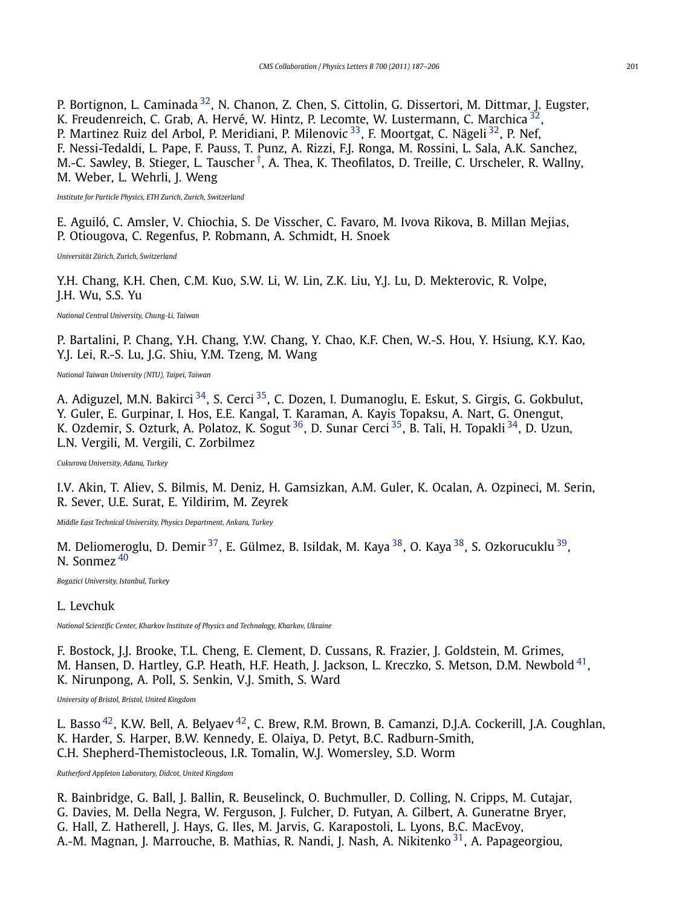P. Bortignon, L. Caminada<sup>32</sup>, N. Chanon, Z. Chen, S. Cittolin, G. Dissertori, M. Dittmar, J. Eugster, K. Freudenreich, C. Grab, A. Hervé, W. Hintz, P. Lecomte, W. Lustermann, C. Marchica<sup>[32](#page-19-0)</sup>, P. Martinez Ruiz del Arbol, P. Meridiani, P. Milenovic [33,](#page-19-0) F. Moortgat, C. Nägeli [32,](#page-19-0) P. Nef, F. Nessi-Tedaldi, L. Pape, F. Pauss, T. Punz, A. Rizzi, F.J. Ronga, M. Rossini, L. Sala, A.K. Sanchez, M.-C. Sawley, B. Stieger, L. Tauscher [†,](#page-19-0) A. Thea, K. Theofilatos, D. Treille, C. Urscheler, R. Wallny, M. Weber, L. Wehrli, J. Weng

*Institute for Particle Physics, ETH Zurich, Zurich, Switzerland*

E. Aguiló, C. Amsler, V. Chiochia, S. De Visscher, C. Favaro, M. Ivova Rikova, B. Millan Mejias, P. Otiougova, C. Regenfus, P. Robmann, A. Schmidt, H. Snoek

*Universität Zürich, Zurich, Switzerland*

Y.H. Chang, K.H. Chen, C.M. Kuo, S.W. Li, W. Lin, Z.K. Liu, Y.J. Lu, D. Mekterovic, R. Volpe, J.H. Wu, S.S. Yu

*National Central University, Chung-Li, Taiwan*

P. Bartalini, P. Chang, Y.H. Chang, Y.W. Chang, Y. Chao, K.F. Chen, W.-S. Hou, Y. Hsiung, K.Y. Kao, Y.J. Lei, R.-S. Lu, J.G. Shiu, Y.M. Tzeng, M. Wang

*National Taiwan University (NTU), Taipei, Taiwan*

A. Adiguzel, M.N. Bakirci<sup>34</sup>, S. Cerci<sup>35</sup>, C. Dozen, I. Dumanoglu, E. Eskut, S. Girgis, G. Gokbulut, Y. Guler, E. Gurpinar, I. Hos, E.E. Kangal, T. Karaman, A. Kayis Topaksu, A. Nart, G. Onengut, K. Ozdemir, S. Ozturk, A. Polatoz, K. Sogut [36,](#page-19-0) D. Sunar Cerci [35,](#page-19-0) B. Tali, H. Topakli [34,](#page-19-0) D. Uzun, L.N. Vergili, M. Vergili, C. Zorbilmez

*Cukurova University, Adana, Turkey*

I.V. Akin, T. Aliev, S. Bilmis, M. Deniz, H. Gamsizkan, A.M. Guler, K. Ocalan, A. Ozpineci, M. Serin, R. Sever, U.E. Surat, E. Yildirim, M. Zeyrek

*Middle East Technical University, Physics Department, Ankara, Turkey*

M. Deliomeroglu, D. Demir<sup>37</sup>, E. Gülmez, B. Isildak, M. Kaya<sup>38</sup>, O. Kaya<sup>38</sup>, S. Ozkorucuklu<sup>39</sup>, N. Sonmez<sup>[40](#page-19-0)</sup>

*Bogazici University, Istanbul, Turkey*

#### L. Levchuk

*National Scientific Center, Kharkov Institute of Physics and Technology, Kharkov, Ukraine*

F. Bostock, J.J. Brooke, T.L. Cheng, E. Clement, D. Cussans, R. Frazier, J. Goldstein, M. Grimes, M. Hansen, D. Hartley, G.P. Heath, H.F. Heath, J. Jackson, L. Kreczko, S. Metson, D.M. Newbold [41,](#page-19-0) K. Nirunpong, A. Poll, S. Senkin, V.J. Smith, S. Ward

*University of Bristol, Bristol, United Kingdom*

L. Basso [42,](#page-19-0) K.W. Bell, A. Belyaev [42,](#page-19-0) C. Brew, R.M. Brown, B. Camanzi, D.J.A. Cockerill, J.A. Coughlan, K. Harder, S. Harper, B.W. Kennedy, E. Olaiya, D. Petyt, B.C. Radburn-Smith, C.H. Shepherd-Themistocleous, I.R. Tomalin, W.J. Womersley, S.D. Worm

*Rutherford Appleton Laboratory, Didcot, United Kingdom*

R. Bainbridge, G. Ball, J. Ballin, R. Beuselinck, O. Buchmuller, D. Colling, N. Cripps, M. Cutajar, G. Davies, M. Della Negra, W. Ferguson, J. Fulcher, D. Futyan, A. Gilbert, A. Guneratne Bryer, G. Hall, Z. Hatherell, J. Hays, G. Iles, M. Jarvis, G. Karapostoli, L. Lyons, B.C. MacEvoy, A.-M. Magnan, J. Marrouche, B. Mathias, R. Nandi, J. Nash, A. Nikitenko <sup>31</sup>, A. Papageorgiou,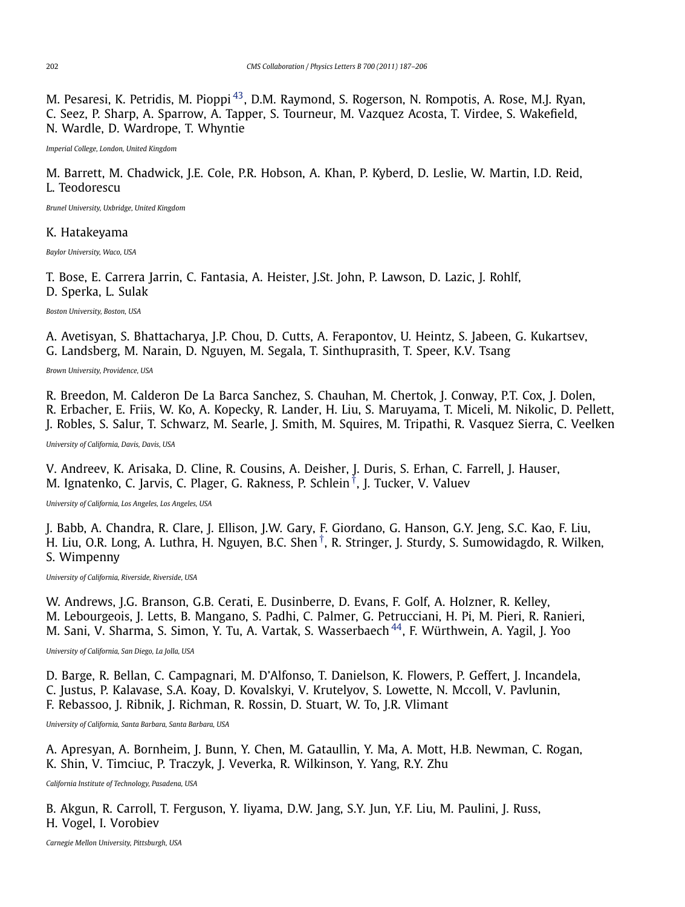M. Pesaresi, K. Petridis, M. Pioppi [43,](#page-19-0) D.M. Raymond, S. Rogerson, N. Rompotis, A. Rose, M.J. Ryan, C. Seez, P. Sharp, A. Sparrow, A. Tapper, S. Tourneur, M. Vazquez Acosta, T. Virdee, S. Wakefield, N. Wardle, D. Wardrope, T. Whyntie

*Imperial College, London, United Kingdom*

M. Barrett, M. Chadwick, J.E. Cole, P.R. Hobson, A. Khan, P. Kyberd, D. Leslie, W. Martin, I.D. Reid, L. Teodorescu

*Brunel University, Uxbridge, United Kingdom*

## K. Hatakeyama

*Baylor University, Waco, USA*

T. Bose, E. Carrera Jarrin, C. Fantasia, A. Heister, J.St. John, P. Lawson, D. Lazic, J. Rohlf, D. Sperka, L. Sulak

*Boston University, Boston, USA*

A. Avetisyan, S. Bhattacharya, J.P. Chou, D. Cutts, A. Ferapontov, U. Heintz, S. Jabeen, G. Kukartsev, G. Landsberg, M. Narain, D. Nguyen, M. Segala, T. Sinthuprasith, T. Speer, K.V. Tsang

*Brown University, Providence, USA*

R. Breedon, M. Calderon De La Barca Sanchez, S. Chauhan, M. Chertok, J. Conway, P.T. Cox, J. Dolen, R. Erbacher, E. Friis, W. Ko, A. Kopecky, R. Lander, H. Liu, S. Maruyama, T. Miceli, M. Nikolic, D. Pellett, J. Robles, S. Salur, T. Schwarz, M. Searle, J. Smith, M. Squires, M. Tripathi, R. Vasquez Sierra, C. Veelken

*University of California, Davis, Davis, USA*

V. Andreev, K. Arisaka, D. Cline, R. Cousins, A. Deisher, J. Duris, S. Erhan, C. Farrell, J. Hauser, M. Ignatenko, C. Jarvis, C. Plager, G. Rakness, P. Schlein<sup>†</sup>, J. Tucker, V. Valuev

*University of California, Los Angeles, Los Angeles, USA*

J. Babb, A. Chandra, R. Clare, J. Ellison, J.W. Gary, F. Giordano, G. Hanson, G.Y. Jeng, S.C. Kao, F. Liu, H. Liu, O.R. Long, A. Luthra, H. Nguyen, B.C. Shen [†,](#page-19-0) R. Stringer, J. Sturdy, S. Sumowidagdo, R. Wilken, S. Wimpenny

*University of California, Riverside, Riverside, USA*

W. Andrews, J.G. Branson, G.B. Cerati, E. Dusinberre, D. Evans, F. Golf, A. Holzner, R. Kelley, M. Lebourgeois, J. Letts, B. Mangano, S. Padhi, C. Palmer, G. Petrucciani, H. Pi, M. Pieri, R. Ranieri, M. Sani, V. Sharma, S. Simon, Y. Tu, A. Vartak, S. Wasserbaech<sup>44</sup>, F. Würthwein, A. Yagil, J. Yoo

*University of California, San Diego, La Jolla, USA*

D. Barge, R. Bellan, C. Campagnari, M. D'Alfonso, T. Danielson, K. Flowers, P. Geffert, J. Incandela, C. Justus, P. Kalavase, S.A. Koay, D. Kovalskyi, V. Krutelyov, S. Lowette, N. Mccoll, V. Pavlunin, F. Rebassoo, J. Ribnik, J. Richman, R. Rossin, D. Stuart, W. To, J.R. Vlimant

*University of California, Santa Barbara, Santa Barbara, USA*

A. Apresyan, A. Bornheim, J. Bunn, Y. Chen, M. Gataullin, Y. Ma, A. Mott, H.B. Newman, C. Rogan, K. Shin, V. Timciuc, P. Traczyk, J. Veverka, R. Wilkinson, Y. Yang, R.Y. Zhu

*California Institute of Technology, Pasadena, USA*

B. Akgun, R. Carroll, T. Ferguson, Y. Iiyama, D.W. Jang, S.Y. Jun, Y.F. Liu, M. Paulini, J. Russ, H. Vogel, I. Vorobiev

*Carnegie Mellon University, Pittsburgh, USA*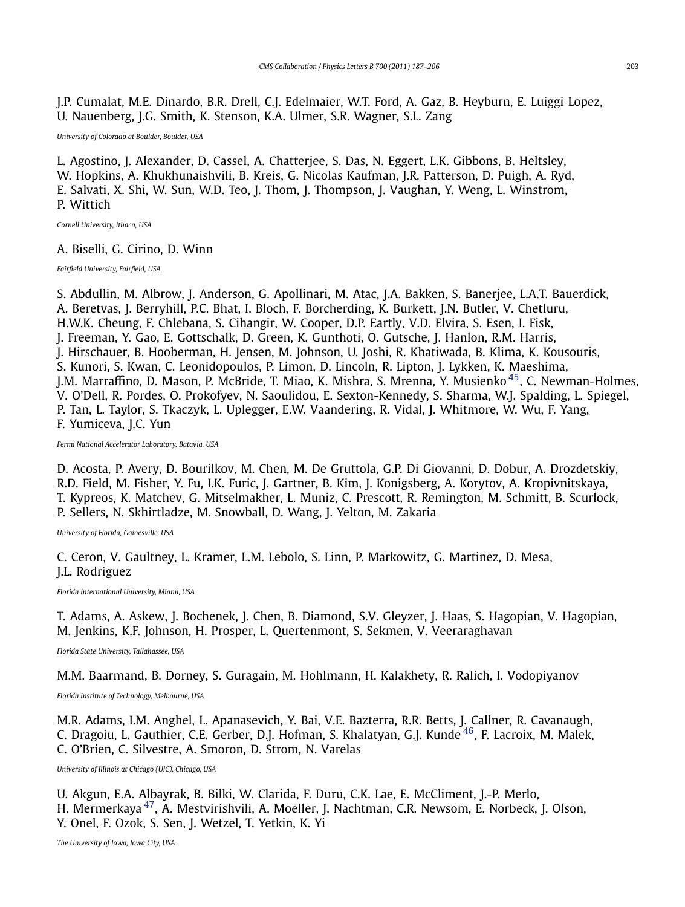J.P. Cumalat, M.E. Dinardo, B.R. Drell, C.J. Edelmaier, W.T. Ford, A. Gaz, B. Heyburn, E. Luiggi Lopez, U. Nauenberg, J.G. Smith, K. Stenson, K.A. Ulmer, S.R. Wagner, S.L. Zang

*University of Colorado at Boulder, Boulder, USA*

L. Agostino, J. Alexander, D. Cassel, A. Chatterjee, S. Das, N. Eggert, L.K. Gibbons, B. Heltsley, W. Hopkins, A. Khukhunaishvili, B. Kreis, G. Nicolas Kaufman, J.R. Patterson, D. Puigh, A. Ryd, E. Salvati, X. Shi, W. Sun, W.D. Teo, J. Thom, J. Thompson, J. Vaughan, Y. Weng, L. Winstrom, P. Wittich

*Cornell University, Ithaca, USA*

#### A. Biselli, G. Cirino, D. Winn

*Fairfield University, Fairfield, USA*

S. Abdullin, M. Albrow, J. Anderson, G. Apollinari, M. Atac, J.A. Bakken, S. Banerjee, L.A.T. Bauerdick, A. Beretvas, J. Berryhill, P.C. Bhat, I. Bloch, F. Borcherding, K. Burkett, J.N. Butler, V. Chetluru, H.W.K. Cheung, F. Chlebana, S. Cihangir, W. Cooper, D.P. Eartly, V.D. Elvira, S. Esen, I. Fisk, J. Freeman, Y. Gao, E. Gottschalk, D. Green, K. Gunthoti, O. Gutsche, J. Hanlon, R.M. Harris, J. Hirschauer, B. Hooberman, H. Jensen, M. Johnson, U. Joshi, R. Khatiwada, B. Klima, K. Kousouris, S. Kunori, S. Kwan, C. Leonidopoulos, P. Limon, D. Lincoln, R. Lipton, J. Lykken, K. Maeshima, J.M. Marraffino, D. Mason, P. McBride, T. Miao, K. Mishra, S. Mrenna, Y. Musienko [45](#page-19-0), C. Newman-Holmes, V. O'Dell, R. Pordes, O. Prokofyev, N. Saoulidou, E. Sexton-Kennedy, S. Sharma, W.J. Spalding, L. Spiegel, P. Tan, L. Taylor, S. Tkaczyk, L. Uplegger, E.W. Vaandering, R. Vidal, J. Whitmore, W. Wu, F. Yang, F. Yumiceva, J.C. Yun

*Fermi National Accelerator Laboratory, Batavia, USA*

D. Acosta, P. Avery, D. Bourilkov, M. Chen, M. De Gruttola, G.P. Di Giovanni, D. Dobur, A. Drozdetskiy, R.D. Field, M. Fisher, Y. Fu, I.K. Furic, J. Gartner, B. Kim, J. Konigsberg, A. Korytov, A. Kropivnitskaya, T. Kypreos, K. Matchev, G. Mitselmakher, L. Muniz, C. Prescott, R. Remington, M. Schmitt, B. Scurlock, P. Sellers, N. Skhirtladze, M. Snowball, D. Wang, J. Yelton, M. Zakaria

*University of Florida, Gainesville, USA*

C. Ceron, V. Gaultney, L. Kramer, L.M. Lebolo, S. Linn, P. Markowitz, G. Martinez, D. Mesa, J.L. Rodriguez

*Florida International University, Miami, USA*

T. Adams, A. Askew, J. Bochenek, J. Chen, B. Diamond, S.V. Gleyzer, J. Haas, S. Hagopian, V. Hagopian, M. Jenkins, K.F. Johnson, H. Prosper, L. Quertenmont, S. Sekmen, V. Veeraraghavan

*Florida State University, Tallahassee, USA*

M.M. Baarmand, B. Dorney, S. Guragain, M. Hohlmann, H. Kalakhety, R. Ralich, I. Vodopiyanov

*Florida Institute of Technology, Melbourne, USA*

M.R. Adams, I.M. Anghel, L. Apanasevich, Y. Bai, V.E. Bazterra, R.R. Betts, J. Callner, R. Cavanaugh, C. Dragoiu, L. Gauthier, C.E. Gerber, D.J. Hofman, S. Khalatyan, G.J. Kunde [46,](#page-19-0) F. Lacroix, M. Malek, C. O'Brien, C. Silvestre, A. Smoron, D. Strom, N. Varelas

*University of Illinois at Chicago (UIC), Chicago, USA*

U. Akgun, E.A. Albayrak, B. Bilki, W. Clarida, F. Duru, C.K. Lae, E. McCliment, J.-P. Merlo, H. Mermerkaya [47,](#page-19-0) A. Mestvirishvili, A. Moeller, J. Nachtman, C.R. Newsom, E. Norbeck, J. Olson, Y. Onel, F. Ozok, S. Sen, J. Wetzel, T. Yetkin, K. Yi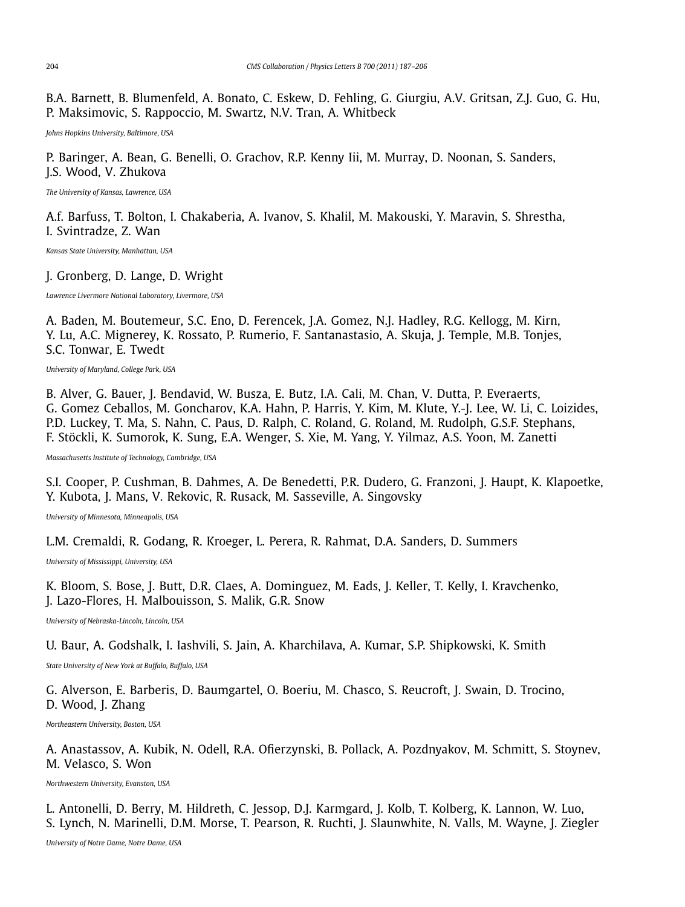B.A. Barnett, B. Blumenfeld, A. Bonato, C. Eskew, D. Fehling, G. Giurgiu, A.V. Gritsan, Z.J. Guo, G. Hu, P. Maksimovic, S. Rappoccio, M. Swartz, N.V. Tran, A. Whitbeck

*Johns Hopkins University, Baltimore, USA*

P. Baringer, A. Bean, G. Benelli, O. Grachov, R.P. Kenny Iii, M. Murray, D. Noonan, S. Sanders, J.S. Wood, V. Zhukova

*The University of Kansas, Lawrence, USA*

A.f. Barfuss, T. Bolton, I. Chakaberia, A. Ivanov, S. Khalil, M. Makouski, Y. Maravin, S. Shrestha, I. Svintradze, Z. Wan

*Kansas State University, Manhattan, USA*

J. Gronberg, D. Lange, D. Wright

*Lawrence Livermore National Laboratory, Livermore, USA*

A. Baden, M. Boutemeur, S.C. Eno, D. Ferencek, J.A. Gomez, N.J. Hadley, R.G. Kellogg, M. Kirn, Y. Lu, A.C. Mignerey, K. Rossato, P. Rumerio, F. Santanastasio, A. Skuja, J. Temple, M.B. Tonjes, S.C. Tonwar, E. Twedt

*University of Maryland, College Park, USA*

B. Alver, G. Bauer, J. Bendavid, W. Busza, E. Butz, I.A. Cali, M. Chan, V. Dutta, P. Everaerts, G. Gomez Ceballos, M. Goncharov, K.A. Hahn, P. Harris, Y. Kim, M. Klute, Y.-J. Lee, W. Li, C. Loizides, P.D. Luckey, T. Ma, S. Nahn, C. Paus, D. Ralph, C. Roland, G. Roland, M. Rudolph, G.S.F. Stephans, F. Stöckli, K. Sumorok, K. Sung, E.A. Wenger, S. Xie, M. Yang, Y. Yilmaz, A.S. Yoon, M. Zanetti

*Massachusetts Institute of Technology, Cambridge, USA*

S.I. Cooper, P. Cushman, B. Dahmes, A. De Benedetti, P.R. Dudero, G. Franzoni, J. Haupt, K. Klapoetke, Y. Kubota, J. Mans, V. Rekovic, R. Rusack, M. Sasseville, A. Singovsky

*University of Minnesota, Minneapolis, USA*

L.M. Cremaldi, R. Godang, R. Kroeger, L. Perera, R. Rahmat, D.A. Sanders, D. Summers

*University of Mississippi, University, USA*

K. Bloom, S. Bose, J. Butt, D.R. Claes, A. Dominguez, M. Eads, J. Keller, T. Kelly, I. Kravchenko, J. Lazo-Flores, H. Malbouisson, S. Malik, G.R. Snow

*University of Nebraska-Lincoln, Lincoln, USA*

U. Baur, A. Godshalk, I. Iashvili, S. Jain, A. Kharchilava, A. Kumar, S.P. Shipkowski, K. Smith

*State University of New York at Buffalo, Buffalo, USA*

G. Alverson, E. Barberis, D. Baumgartel, O. Boeriu, M. Chasco, S. Reucroft, J. Swain, D. Trocino, D. Wood, J. Zhang

*Northeastern University, Boston, USA*

A. Anastassov, A. Kubik, N. Odell, R.A. Ofierzynski, B. Pollack, A. Pozdnyakov, M. Schmitt, S. Stoynev, M. Velasco, S. Won

*Northwestern University, Evanston, USA*

L. Antonelli, D. Berry, M. Hildreth, C. Jessop, D.J. Karmgard, J. Kolb, T. Kolberg, K. Lannon, W. Luo, S. Lynch, N. Marinelli, D.M. Morse, T. Pearson, R. Ruchti, J. Slaunwhite, N. Valls, M. Wayne, J. Ziegler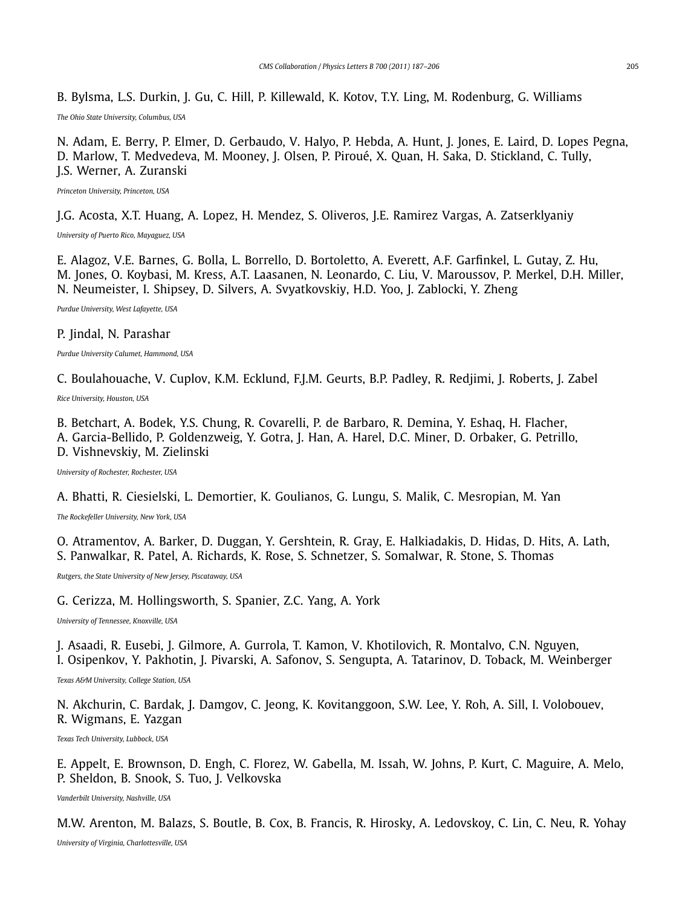B. Bylsma, L.S. Durkin, J. Gu, C. Hill, P. Killewald, K. Kotov, T.Y. Ling, M. Rodenburg, G. Williams

*The Ohio State University, Columbus, USA*

N. Adam, E. Berry, P. Elmer, D. Gerbaudo, V. Halyo, P. Hebda, A. Hunt, J. Jones, E. Laird, D. Lopes Pegna, D. Marlow, T. Medvedeva, M. Mooney, J. Olsen, P. Piroué, X. Quan, H. Saka, D. Stickland, C. Tully, J.S. Werner, A. Zuranski

*Princeton University, Princeton, USA*

J.G. Acosta, X.T. Huang, A. Lopez, H. Mendez, S. Oliveros, J.E. Ramirez Vargas, A. Zatserklyaniy

*University of Puerto Rico, Mayaguez, USA*

E. Alagoz, V.E. Barnes, G. Bolla, L. Borrello, D. Bortoletto, A. Everett, A.F. Garfinkel, L. Gutay, Z. Hu, M. Jones, O. Koybasi, M. Kress, A.T. Laasanen, N. Leonardo, C. Liu, V. Maroussov, P. Merkel, D.H. Miller, N. Neumeister, I. Shipsey, D. Silvers, A. Svyatkovskiy, H.D. Yoo, J. Zablocki, Y. Zheng

*Purdue University, West Lafayette, USA*

P. Jindal, N. Parashar

*Purdue University Calumet, Hammond, USA*

C. Boulahouache, V. Cuplov, K.M. Ecklund, F.J.M. Geurts, B.P. Padley, R. Redjimi, J. Roberts, J. Zabel

*Rice University, Houston, USA*

B. Betchart, A. Bodek, Y.S. Chung, R. Covarelli, P. de Barbaro, R. Demina, Y. Eshaq, H. Flacher, A. Garcia-Bellido, P. Goldenzweig, Y. Gotra, J. Han, A. Harel, D.C. Miner, D. Orbaker, G. Petrillo, D. Vishnevskiy, M. Zielinski

*University of Rochester, Rochester, USA*

A. Bhatti, R. Ciesielski, L. Demortier, K. Goulianos, G. Lungu, S. Malik, C. Mesropian, M. Yan

*The Rockefeller University, New York, USA*

O. Atramentov, A. Barker, D. Duggan, Y. Gershtein, R. Gray, E. Halkiadakis, D. Hidas, D. Hits, A. Lath, S. Panwalkar, R. Patel, A. Richards, K. Rose, S. Schnetzer, S. Somalwar, R. Stone, S. Thomas

*Rutgers, the State University of New Jersey, Piscataway, USA*

G. Cerizza, M. Hollingsworth, S. Spanier, Z.C. Yang, A. York

*University of Tennessee, Knoxville, USA*

J. Asaadi, R. Eusebi, J. Gilmore, A. Gurrola, T. Kamon, V. Khotilovich, R. Montalvo, C.N. Nguyen, I. Osipenkov, Y. Pakhotin, J. Pivarski, A. Safonov, S. Sengupta, A. Tatarinov, D. Toback, M. Weinberger

*Texas A&M University, College Station, USA*

N. Akchurin, C. Bardak, J. Damgov, C. Jeong, K. Kovitanggoon, S.W. Lee, Y. Roh, A. Sill, I. Volobouev, R. Wigmans, E. Yazgan

*Texas Tech University, Lubbock, USA*

E. Appelt, E. Brownson, D. Engh, C. Florez, W. Gabella, M. Issah, W. Johns, P. Kurt, C. Maguire, A. Melo, P. Sheldon, B. Snook, S. Tuo, J. Velkovska

*Vanderbilt University, Nashville, USA*

M.W. Arenton, M. Balazs, S. Boutle, B. Cox, B. Francis, R. Hirosky, A. Ledovskoy, C. Lin, C. Neu, R. Yohay